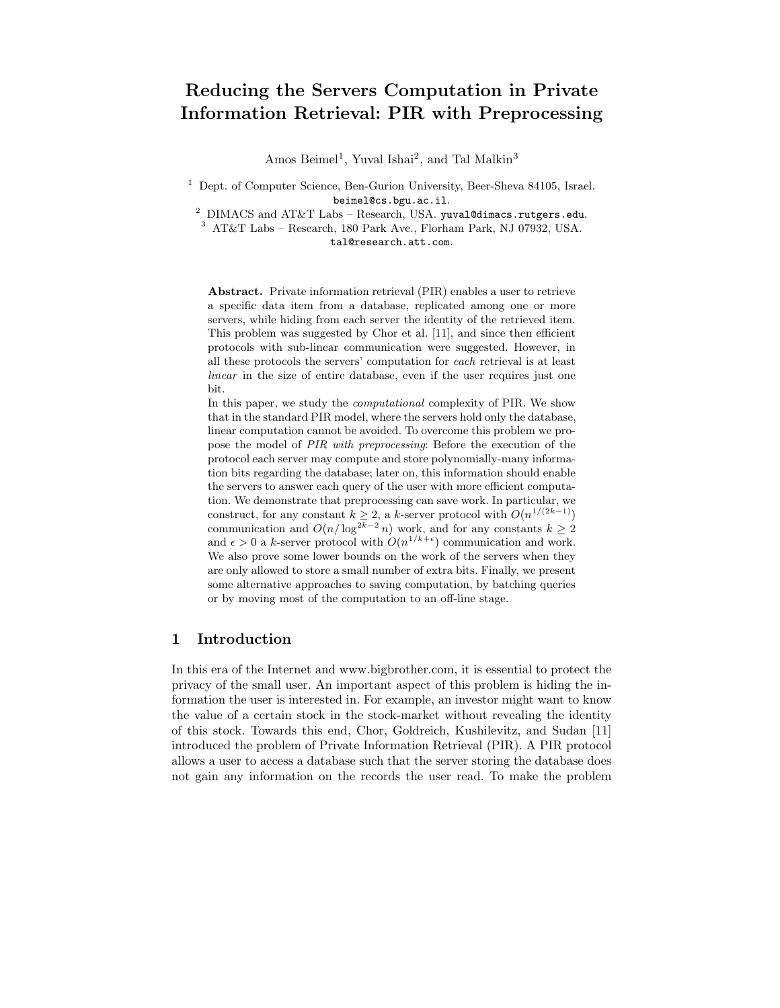# Reducing the Servers Computation in Private Information Retrieval: PIR with Preprocessing

Amos Beimel<sup>1</sup>, Yuval Ishai<sup>2</sup>, and Tal Malkin<sup>3</sup>

<sup>1</sup> Dept. of Computer Science, Ben-Gurion University, Beer-Sheva 84105, Israel. beimel@cs.bgu.ac.il.

<sup>2</sup> DIMACS and AT&T Labs – Research, USA. yuval@dimacs.rutgers.edu.

<sup>3</sup> AT&T Labs – Research, 180 Park Ave., Florham Park, NJ 07932, USA. tal@research.att.com.

Abstract. Private information retrieval (PIR) enables a user to retrieve a specific data item from a database, replicated among one or more servers, while hiding from each server the identity of the retrieved item. This problem was suggested by Chor et al. [11], and since then efficient protocols with sub-linear communication were suggested. However, in all these protocols the servers' computation for each retrieval is at least linear in the size of entire database, even if the user requires just one bit.

In this paper, we study the *computational* complexity of PIR. We show that in the standard PIR model, where the servers hold only the database, linear computation cannot be avoided. To overcome this problem we propose the model of PIR with preprocessing: Before the execution of the protocol each server may compute and store polynomially-many information bits regarding the database; later on, this information should enable the servers to answer each query of the user with more efficient computation. We demonstrate that preprocessing can save work. In particular, we construct, for any constant  $k \geq 2$ , a k-server protocol with  $O(n^{1/(2k-1)})$ communication and  $O(n/\log^{2k-2} n)$  work, and for any constants  $k \ge 2$ and  $\epsilon > 0$  a k-server protocol with  $O(n^{1/k+\epsilon})$  communication and work. We also prove some lower bounds on the work of the servers when they are only allowed to store a small number of extra bits. Finally, we present some alternative approaches to saving computation, by batching queries or by moving most of the computation to an off-line stage.

# 1 Introduction

In this era of the Internet and www.bigbrother.com, it is essential to protect the privacy of the small user. An important aspect of this problem is hiding the information the user is interested in. For example, an investor might want to know the value of a certain stock in the stock-market without revealing the identity of this stock. Towards this end, Chor, Goldreich, Kushilevitz, and Sudan [11] introduced the problem of Private Information Retrieval (PIR). A PIR protocol allows a user to access a database such that the server storing the database does not gain any information on the records the user read. To make the problem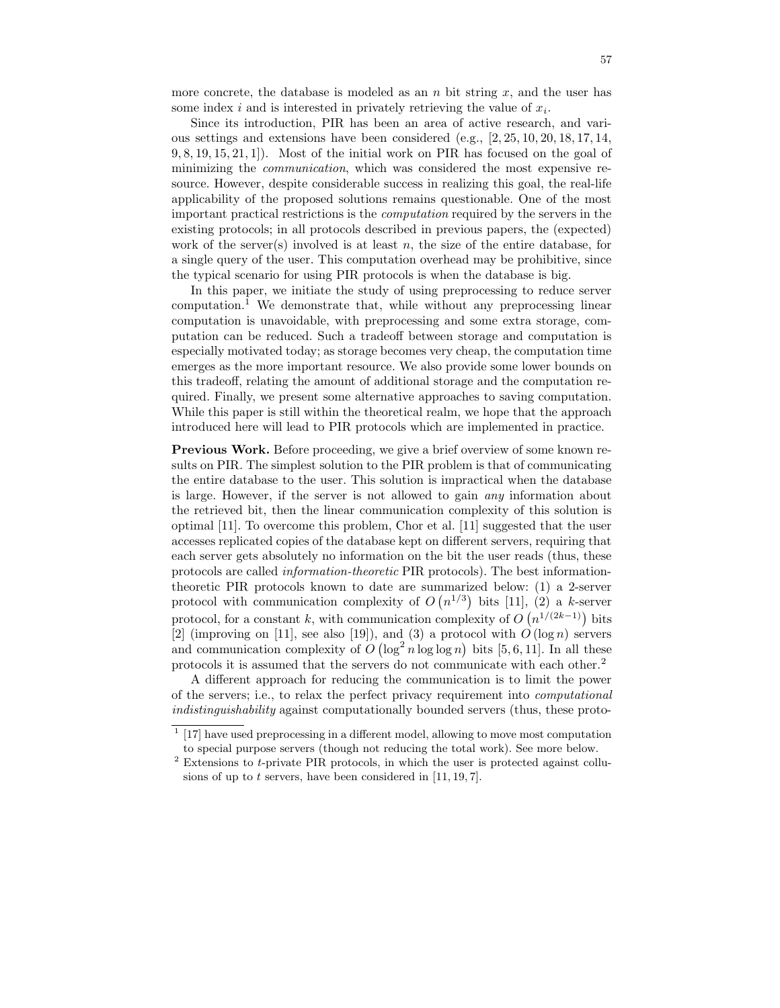more concrete, the database is modeled as an n bit string x, and the user has some index i and is interested in privately retrieving the value of  $x_i$ .

Since its introduction, PIR has been an area of active research, and various settings and extensions have been considered (e.g., [2, 25, 10, 20, 18, 17, 14, 9, 8, 19, 15, 21, 1]). Most of the initial work on PIR has focused on the goal of minimizing the communication, which was considered the most expensive resource. However, despite considerable success in realizing this goal, the real-life applicability of the proposed solutions remains questionable. One of the most important practical restrictions is the computation required by the servers in the existing protocols; in all protocols described in previous papers, the (expected) work of the server(s) involved is at least n, the size of the entire database, for a single query of the user. This computation overhead may be prohibitive, since the typical scenario for using PIR protocols is when the database is big.

In this paper, we initiate the study of using preprocessing to reduce server computation.<sup>1</sup> We demonstrate that, while without any preprocessing linear computation is unavoidable, with preprocessing and some extra storage, computation can be reduced. Such a tradeoff between storage and computation is especially motivated today; as storage becomes very cheap, the computation time emerges as the more important resource. We also provide some lower bounds on this tradeoff, relating the amount of additional storage and the computation required. Finally, we present some alternative approaches to saving computation. While this paper is still within the theoretical realm, we hope that the approach introduced here will lead to PIR protocols which are implemented in practice.

Previous Work. Before proceeding, we give a brief overview of some known results on PIR. The simplest solution to the PIR problem is that of communicating the entire database to the user. This solution is impractical when the database is large. However, if the server is not allowed to gain any information about the retrieved bit, then the linear communication complexity of this solution is optimal [11]. To overcome this problem, Chor et al. [11] suggested that the user accesses replicated copies of the database kept on different servers, requiring that each server gets absolutely no information on the bit the user reads (thus, these protocols are called information-theoretic PIR protocols). The best informationtheoretic PIR protocols known to date are summarized below: (1) a 2-server protocol with communication complexity of  $O(n^{1/3})$  bits [11], (2) a k-server protocol, for a constant k, with communication complexity of  $O(n^{1/(2k-1)})$  bits [2] (improving on [11], see also [19]), and (3) a protocol with  $O(\log n)$  servers and communication complexity of  $O(\log^2 n \log \log n)$  bits [5, 6, 11]. In all these protocols it is assumed that the servers do not communicate with each other.<sup>2</sup>

A different approach for reducing the communication is to limit the power of the servers; i.e., to relax the perfect privacy requirement into computational indistinguishability against computationally bounded servers (thus, these proto-

<sup>1</sup> [17] have used preprocessing in a different model, allowing to move most computation to special purpose servers (though not reducing the total work). See more below.

 $2$  Extensions to  $t$ -private PIR protocols, in which the user is protected against collusions of up to  $t$  servers, have been considered in [11, 19, 7].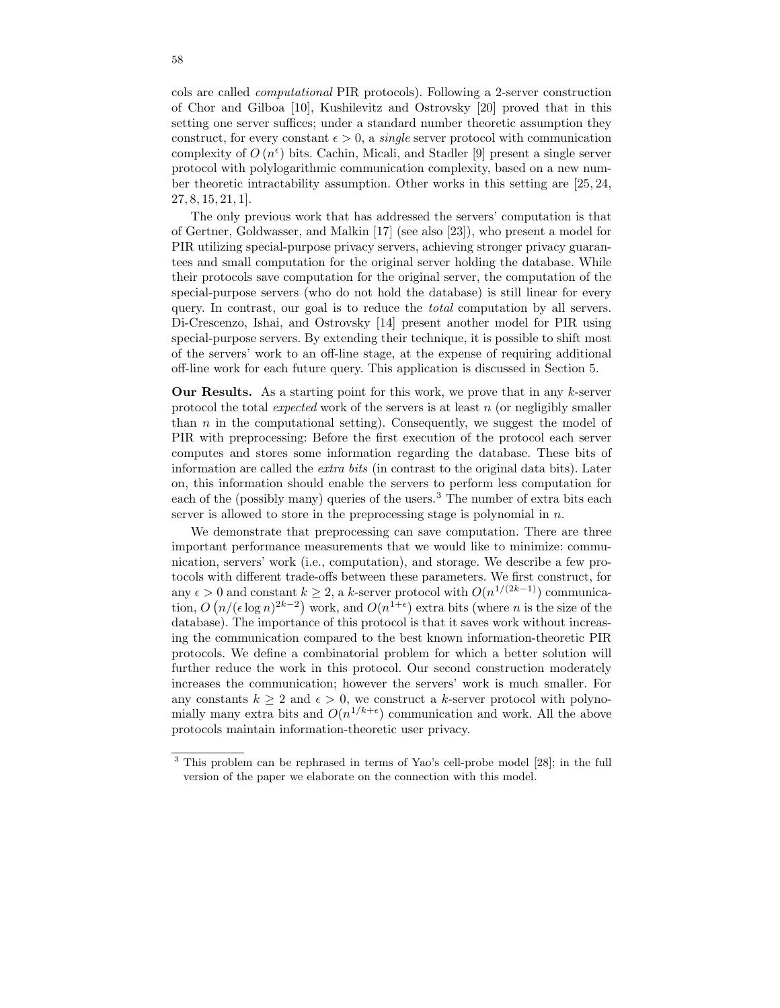cols are called computational PIR protocols). Following a 2-server construction of Chor and Gilboa [10], Kushilevitz and Ostrovsky [20] proved that in this setting one server suffices; under a standard number theoretic assumption they construct, for every constant  $\epsilon > 0$ , a *single* server protocol with communication complexity of  $O(n^{\epsilon})$  bits. Cachin, Micali, and Stadler [9] present a single server protocol with polylogarithmic communication complexity, based on a new number theoretic intractability assumption. Other works in this setting are [25, 24,  $27, 8, 15, 21, 1$ .

The only previous work that has addressed the servers' computation is that of Gertner, Goldwasser, and Malkin [17] (see also [23]), who present a model for PIR utilizing special-purpose privacy servers, achieving stronger privacy guarantees and small computation for the original server holding the database. While their protocols save computation for the original server, the computation of the special-purpose servers (who do not hold the database) is still linear for every query. In contrast, our goal is to reduce the total computation by all servers. Di-Crescenzo, Ishai, and Ostrovsky [14] present another model for PIR using special-purpose servers. By extending their technique, it is possible to shift most of the servers' work to an off-line stage, at the expense of requiring additional off-line work for each future query. This application is discussed in Section 5.

**Our Results.** As a starting point for this work, we prove that in any  $k$ -server protocol the total expected work of the servers is at least  $n$  (or negligibly smaller than n in the computational setting). Consequently, we suggest the model of PIR with preprocessing: Before the first execution of the protocol each server computes and stores some information regarding the database. These bits of information are called the extra bits (in contrast to the original data bits). Later on, this information should enable the servers to perform less computation for each of the (possibly many) queries of the users.<sup>3</sup> The number of extra bits each server is allowed to store in the preprocessing stage is polynomial in  $n$ .

We demonstrate that preprocessing can save computation. There are three important performance measurements that we would like to minimize: communication, servers' work (i.e., computation), and storage. We describe a few protocols with different trade-offs between these parameters. We first construct, for any  $\epsilon > 0$  and constant  $k \geq 2$ , a k-server protocol with  $O(n^{1/(2k-1)})$  communication,  $O(n/(\epsilon \log n)^{2k-2})$  work, and  $O(n^{1+\epsilon})$  extra bits (where n is the size of the database). The importance of this protocol is that it saves work without increasing the communication compared to the best known information-theoretic PIR protocols. We define a combinatorial problem for which a better solution will further reduce the work in this protocol. Our second construction moderately increases the communication; however the servers' work is much smaller. For any constants  $k \geq 2$  and  $\epsilon > 0$ , we construct a k-server protocol with polynomially many extra bits and  $O(n^{1/k+\epsilon})$  communication and work. All the above protocols maintain information-theoretic user privacy.

<sup>3</sup> This problem can be rephrased in terms of Yao's cell-probe model [28]; in the full version of the paper we elaborate on the connection with this model.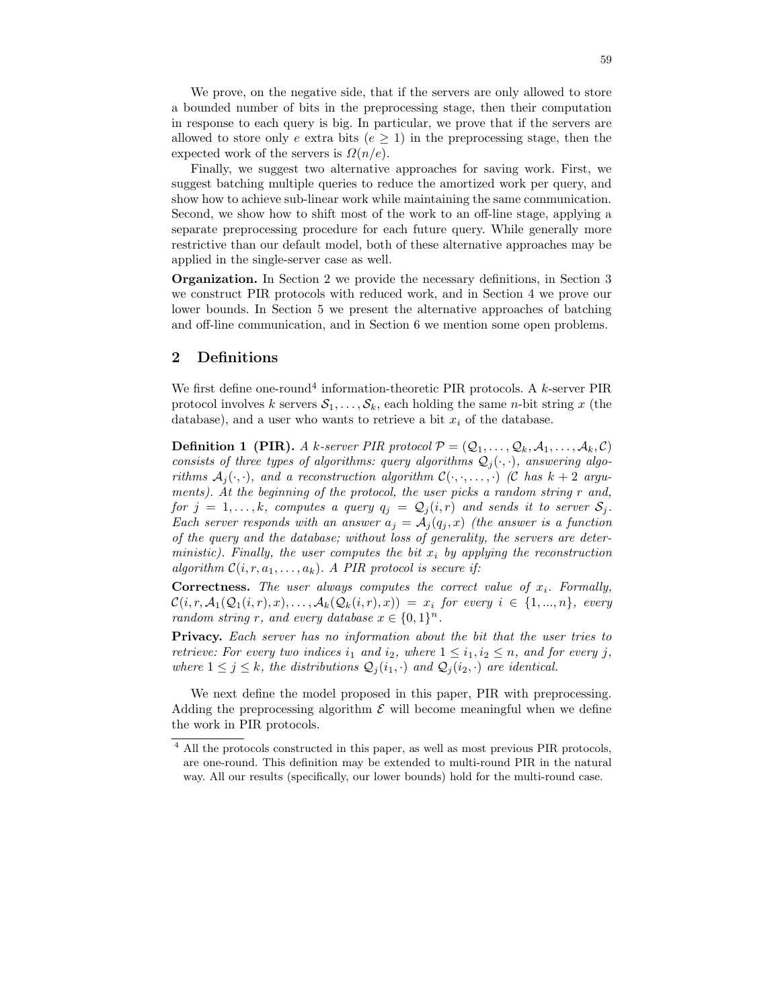We prove, on the negative side, that if the servers are only allowed to store a bounded number of bits in the preprocessing stage, then their computation in response to each query is big. In particular, we prove that if the servers are allowed to store only e extra bits ( $e \geq 1$ ) in the preprocessing stage, then the expected work of the servers is  $\Omega(n/e)$ .

Finally, we suggest two alternative approaches for saving work. First, we suggest batching multiple queries to reduce the amortized work per query, and show how to achieve sub-linear work while maintaining the same communication. Second, we show how to shift most of the work to an off-line stage, applying a separate preprocessing procedure for each future query. While generally more restrictive than our default model, both of these alternative approaches may be applied in the single-server case as well.

Organization. In Section 2 we provide the necessary definitions, in Section 3 we construct PIR protocols with reduced work, and in Section 4 we prove our lower bounds. In Section 5 we present the alternative approaches of batching and off-line communication, and in Section 6 we mention some open problems.

# 2 Definitions

We first define one-round<sup>4</sup> information-theoretic PIR protocols. A k-server PIR protocol involves k servers  $S_1, \ldots, S_k$ , each holding the same n-bit string x (the database), and a user who wants to retrieve a bit  $x_i$  of the database.

**Definition 1 (PIR).** A k-server PIR protocol  $\mathcal{P} = (\mathcal{Q}_1, \ldots, \mathcal{Q}_k, \mathcal{A}_1, \ldots, \mathcal{A}_k, \mathcal{C})$ consists of three types of algorithms: query algorithms  $Q_i(\cdot, \cdot)$ , answering algorithms  $A_j(\cdot, \cdot)$ , and a reconstruction algorithm  $\mathcal{C}(\cdot, \cdot, \ldots, \cdot)$  (C has  $k+2$  arguments). At the beginning of the protocol, the user picks a random string  $r$  and, for  $j = 1, ..., k$ , computes a query  $q_j = Q_j(i,r)$  and sends it to server  $S_j$ . Each server responds with an answer  $a_j = \tilde{A}_j(q_j, x)$  (the answer is a function of the query and the database; without loss of generality, the servers are deterministic). Finally, the user computes the bit  $x_i$  by applying the reconstruction algorithm  $C(i, r, a_1, \ldots, a_k)$ . A PIR protocol is secure if:

**Correctness.** The user always computes the correct value of  $x_i$ . Formally,  $\mathcal{C}(i, r, \mathcal{A}_1(\mathcal{Q}_1(i, r), x), \ldots, \mathcal{A}_k(\mathcal{Q}_k(i, r), x)) = x_i$  for every  $i \in \{1, ..., n\}$ , every random string r, and every database  $x \in \{0,1\}^n$ .

Privacy. Each server has no information about the bit that the user tries to retrieve: For every two indices  $i_1$  and  $i_2$ , where  $1 \leq i_1, i_2 \leq n$ , and for every j, where  $1 \leq j \leq k$ , the distributions  $\mathcal{Q}_j(i_1, \cdot)$  and  $\mathcal{Q}_j(i_2, \cdot)$  are identical.

We next define the model proposed in this paper, PIR with preprocessing. Adding the preprocessing algorithm  $\mathcal E$  will become meaningful when we define the work in PIR protocols.

<sup>4</sup> All the protocols constructed in this paper, as well as most previous PIR protocols, are one-round. This definition may be extended to multi-round PIR in the natural way. All our results (specifically, our lower bounds) hold for the multi-round case.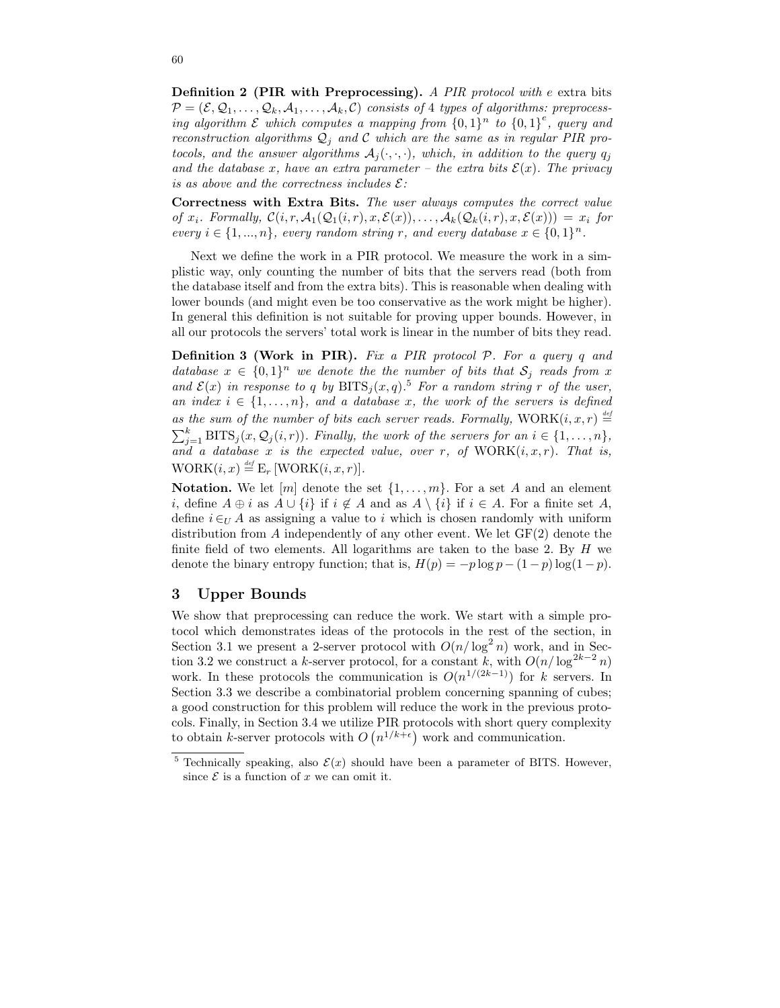Definition 2 (PIR with Preprocessing). A PIR protocol with e extra bits  $\mathcal{P} = (\mathcal{E}, \mathcal{Q}_1, \ldots, \mathcal{Q}_k, \mathcal{A}_1, \ldots, \mathcal{A}_k, \mathcal{C})$  consists of 4 types of algorithms: preprocessing algorithm  $\mathcal E$  which computes a mapping from  $\{0,1\}^n$  to  $\{0,1\}^e$ , query and reconstruction algorithms  $Q_j$  and C which are the same as in regular PIR protocols, and the answer algorithms  $A_j(\cdot,\cdot,\cdot)$ , which, in addition to the query  $q_j$ and the database x, have an extra parameter – the extra bits  $\mathcal{E}(x)$ . The privacy is as above and the correctness includes  $\mathcal{E}$ :

Correctness with Extra Bits. The user always computes the correct value of  $x_i$ . Formally,  $\mathcal{C}(i, r, \mathcal{A}_1(\mathcal{Q}_1(i, r), x, \mathcal{E}(x)), \ldots, \mathcal{A}_k(\mathcal{Q}_k(i, r), x, \mathcal{E}(x))) = x_i$  for every  $i \in \{1, ..., n\}$ , every random string r, and every database  $x \in \{0, 1\}^n$ .

Next we define the work in a PIR protocol. We measure the work in a simplistic way, only counting the number of bits that the servers read (both from the database itself and from the extra bits). This is reasonable when dealing with lower bounds (and might even be too conservative as the work might be higher). In general this definition is not suitable for proving upper bounds. However, in all our protocols the servers' total work is linear in the number of bits they read.

**Definition 3 (Work in PIR).** Fix a PIR protocol  $P$ . For a query q and database  $x \in \{0,1\}^n$  we denote the the number of bits that  $S_j$  reads from x and  $\mathcal{E}(x)$  in response to q by  $\text{BITS}_j(x,q)$ .<sup>5</sup> For a random string r of the user, an index  $i \in \{1, \ldots, n\}$ , and a database x, the work of the servers is defined as the sum of the number of bits each server reads. Formally,  $WORK(i, x, r) \stackrel{\text{def}}{=}$  $\sum_{j=1}^k$  BITS<sub>j</sub> $(x, Q_j(i, r))$ . Finally, the work of the servers for an  $i \in \{1, \ldots, n\}$ , and a database x is the expected value, over r, of  $WORK(i, x, r)$ . That is,  $\text{WORK}(i, x) \stackrel{\text{\tiny def}}{=} E_r \left[ \text{WORK}(i, x, r) \right].$ 

**Notation.** We let  $[m]$  denote the set  $\{1, \ldots, m\}$ . For a set A and an element i, define  $A \oplus i$  as  $A \cup \{i\}$  if  $i \notin A$  and as  $A \setminus \{i\}$  if  $i \in A$ . For a finite set A, define  $i \in U$  A as assigning a value to i which is chosen randomly with uniform distribution from A independently of any other event. We let  $GF(2)$  denote the finite field of two elements. All logarithms are taken to the base 2. By  $H$  we denote the binary entropy function; that is,  $H(p) = -p \log p - (1-p) \log(1-p)$ .

## 3 Upper Bounds

We show that preprocessing can reduce the work. We start with a simple protocol which demonstrates ideas of the protocols in the rest of the section, in Section 3.1 we present a 2-server protocol with  $O(n/\log^2 n)$  work, and in Section 3.2 we construct a k-server protocol, for a constant k, with  $O(n/\log^{2k-2} n)$ work. In these protocols the communication is  $O(n^{1/(2k-1)})$  for k servers. In Section 3.3 we describe a combinatorial problem concerning spanning of cubes; a good construction for this problem will reduce the work in the previous protocols. Finally, in Section 3.4 we utilize PIR protocols with short query complexity to obtain k-server protocols with  $O(n^{1/k+\epsilon})$  work and communication.

<sup>&</sup>lt;sup>5</sup> Technically speaking, also  $\mathcal{E}(x)$  should have been a parameter of BITS. However, since  $\mathcal E$  is a function of x we can omit it.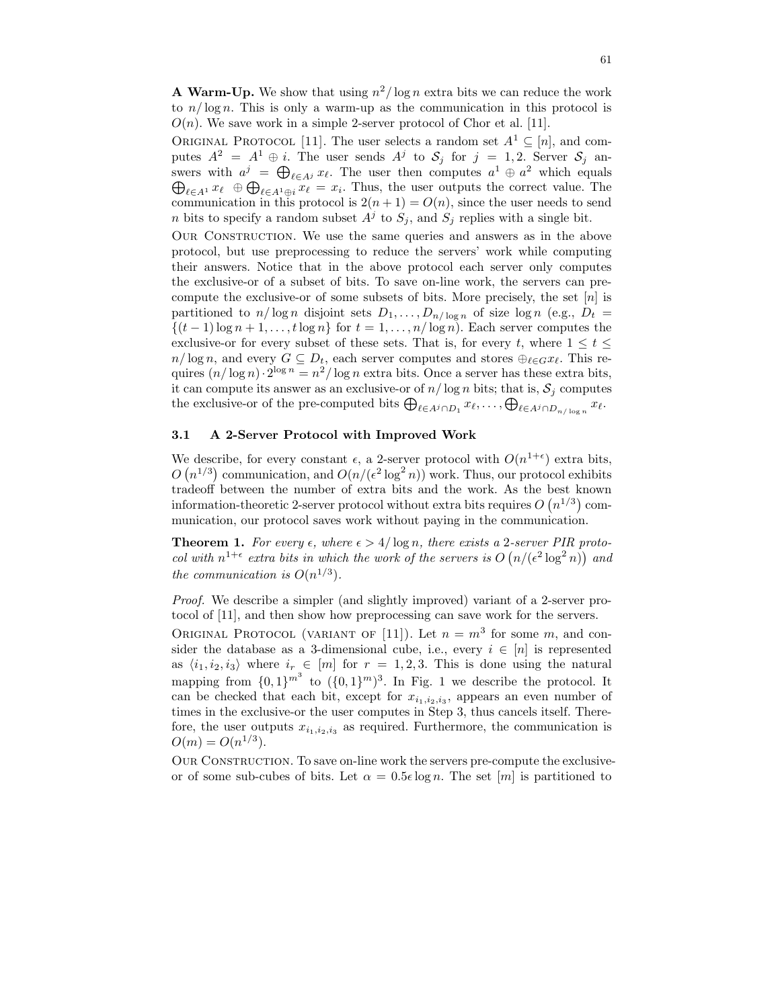**A Warm-Up.** We show that using  $n^2/\log n$  extra bits we can reduce the work to  $n/\log n$ . This is only a warm-up as the communication in this protocol is  $O(n)$ . We save work in a simple 2-server protocol of Chor et al. [11].

ORIGINAL PROTOCOL [11]. The user selects a random set  $A^1 \subseteq [n]$ , and computes  $A^2 = A^1 \oplus i$ . The user sends  $A^j$  to  $S_j$  for  $j = 1, 2$ . Server  $S_j$  answers with  $a^j = \bigoplus_{\ell \in A^j} x_{\ell}$ . The user then computes  $a^1 \oplus a^2$  which equals  $\bigoplus_{\ell \in A^1} x_{\ell} \oplus \bigoplus_{\ell \in A^1 \oplus i} x_{\ell} = x_i$ . Thus, the user outputs the correct value. The communication in this protocol is  $2(n+1) = O(n)$ , since the user needs to send n bits to specify a random subset  $A^j$  to  $S_j$ , and  $S_j$  replies with a single bit.

Our Construction. We use the same queries and answers as in the above protocol, but use preprocessing to reduce the servers' work while computing their answers. Notice that in the above protocol each server only computes the exclusive-or of a subset of bits. To save on-line work, the servers can precompute the exclusive-or of some subsets of bits. More precisely, the set  $[n]$  is partitioned to  $n/\log n$  disjoint sets  $D_1, \ldots, D_{n/\log n}$  of size  $\log n$  (e.g.,  $D_t =$  $\{(t-1)\log n+1,\ldots,t\log n\}$  for  $t=1,\ldots,n/\log n$ . Each server computes the exclusive-or for every subset of these sets. That is, for every t, where  $1 \leq t \leq$  $n/\log n$ , and every  $G \subseteq D_t$ , each server computes and stores  $\bigoplus_{\ell \in G} x_{\ell}$ . This requires  $(n/\log n) \cdot 2^{\log n} = n^2/\log n$  extra bits. Once a server has these extra bits, it can compute its answer as an exclusive-or of  $n/\log n$  bits; that is,  $S_i$  computes the exclusive-or of the pre-computed bits  $\bigoplus_{\ell \in A^j \cap D_1} x_{\ell}, \ldots, \bigoplus_{\ell \in A^j \cap D_{n/\log n}} x_{\ell}.$ 

### 3.1 A 2-Server Protocol with Improved Work

We describe, for every constant  $\epsilon$ , a 2-server protocol with  $O(n^{1+\epsilon})$  extra bits,  $O(n^{1/3})$  communication, and  $O(n/(\epsilon^2 \log^2 n))$  work. Thus, our protocol exhibits tradeoff between the number of extra bits and the work. As the best known information-theoretic 2-server protocol without extra bits requires  $O(n^{1/3})$  communication, our protocol saves work without paying in the communication.

**Theorem 1.** For every  $\epsilon$ , where  $\epsilon > 4/\log n$ , there exists a 2-server PIR protocol with  $n^{1+\epsilon}$  extra bits in which the work of the servers is  $O(n/(\epsilon^2 \log^2 n))$  and the communication is  $O(n^{1/3})$ .

Proof. We describe a simpler (and slightly improved) variant of a 2-server protocol of [11], and then show how preprocessing can save work for the servers.

ORIGINAL PROTOCOL (VARIANT OF [11]). Let  $n = m^3$  for some m, and consider the database as a 3-dimensional cube, i.e., every  $i \in [n]$  is represented as  $\langle i_1,i_2,i_3 \rangle$  where  $i_r \in [m]$  for  $r = 1,2,3$ . This is done using the natural mapping from  $\{0,1\}^{m^3}$  to  $(\{0,1\}^m)^3$ . In Fig. 1 we describe the protocol. It can be checked that each bit, except for  $x_{i_1,i_2,i_3}$ , appears an even number of times in the exclusive-or the user computes in Step 3, thus cancels itself. Therefore, the user outputs  $x_{i_1,i_2,i_3}$  as required. Furthermore, the communication is  $O(m) = O(n^{1/3}).$ 

OUR CONSTRUCTION. To save on-line work the servers pre-compute the exclusiveor of some sub-cubes of bits. Let  $\alpha = 0.5\epsilon \log n$ . The set  $[m]$  is partitioned to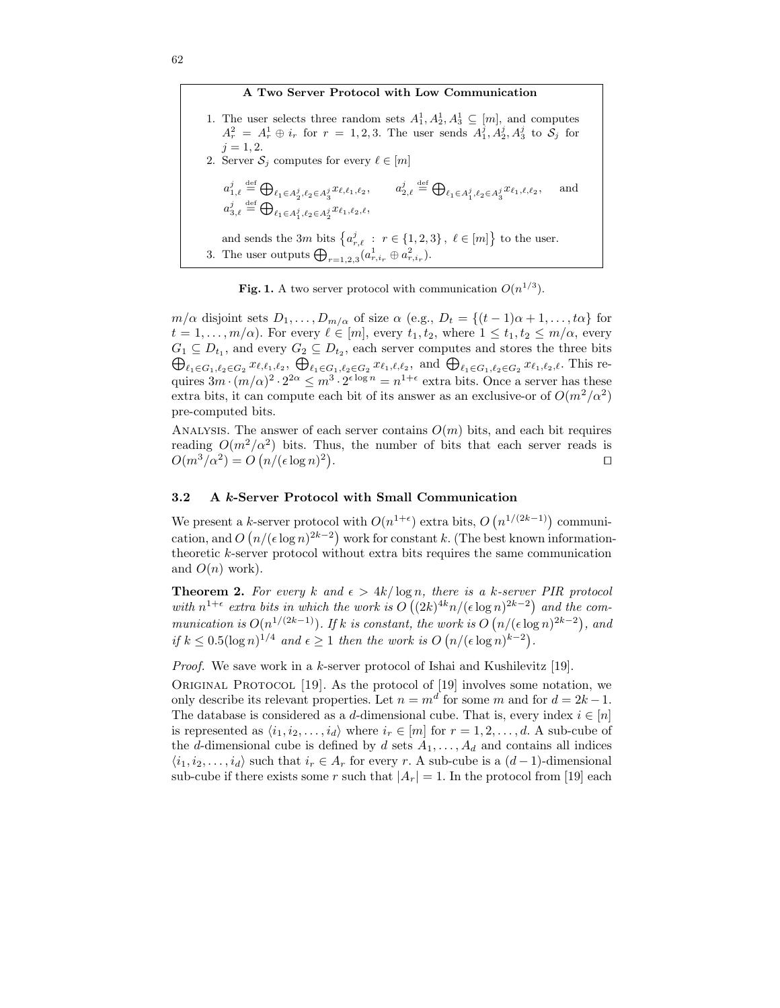### A Two Server Protocol with Low Communication

1. The user selects three random sets  $A_1^1, A_2^1, A_3^1 \subseteq [m]$ , and computes  $A_r^2 = A_r^1 \oplus i_r$  for  $r = 1, 2, 3$ . The user sends  $A_1^j, A_2^j, A_3^j$  to  $S_j$  for  $j = 1, 2.$ 2. Server  $S_i$  computes for every  $\ell \in [m]$  $a_{1,\ell}^j \stackrel{\text{def}}{=} \bigoplus_{\ell_1 \in A_2^j, \ell_2 \in A_3^j} x_{\ell,\ell_1,\ell_2}, \qquad a_{2,\ell}^j \stackrel{\text{def}}{=} \bigoplus_{\ell_1 \in A_1^j, \ell_2 \in A_3^j} x_{\ell_1,\ell,\ell_2}$ , and  $a_{3,\ell}^j \stackrel{\text{def}}{=} \bigoplus_{\ell_1 \in A_1^j, \ell_2 \in A_2^j} x_{\ell_1,\ell_2,\ell},$ and sends the 3*m* bits  $\left\{a_{r,\ell}^j : r \in \{1, 2, 3\}, \ell \in [m]\right\}$  to the user. 3. The user outputs  $\bigoplus_{r=1,2,3} (a_{r,i_r}^1 \oplus a_{r,i_r}^2)$ .

**Fig. 1.** A two server protocol with communication  $O(n^{1/3})$ .

 $m/\alpha$  disjoint sets  $D_1, \ldots, D_{m/\alpha}$  of size  $\alpha$  (e.g.,  $D_t = \{(t-1)\alpha + 1, \ldots, t\alpha\}$  for  $t = 1, \ldots, m/\alpha$ . For every  $\ell \in [m]$ , every  $t_1, t_2$ , where  $1 \leq t_1, t_2 \leq m/\alpha$ , every  $G_1 \subseteq D_{t_1}$ , and every  $G_2 \subseteq D_{t_2}$ , each server computes and stores the three bits  $G_1 \subseteq D_{t_1}$ , and every  $G_2 \subseteq D_{t_2}$ , each server computes and stores the three bits  $\bigoplus_{\ell_1 \in G_1, \ell_2 \in G_2} x_{\ell, \ell_1, \ell_2}, \bigoplus_{\ell_1 \in G_1, \ell_2 \in G_2} x_{\ell, \ell_1, \ell_2},$  and  $\bigoplus_{\ell_1 \in G_1, \ell_2 \in G_2} x_{\ell_1, \ell_2, \ell}$ . Thi quires  $3m \cdot (m/\alpha)^2 \cdot 2^{2\alpha} \leq m^3 \cdot 2^{\epsilon \log n} = n^{1+\epsilon}$  extra bits. Once a server has these extra bits, it can compute each bit of its answer as an exclusive-or of  $O(m^2/\alpha^2)$ pre-computed bits.

ANALYSIS. The answer of each server contains  $O(m)$  bits, and each bit requires reading  $O(m^2/\alpha^2)$  bits. Thus, the number of bits that each server reads is  $O(m^3/\alpha^2) = O(n/(\epsilon \log n)^2)$ . The contract of the contract of the contract of the contract of the contract of the contract of the contract of the contract of the contract of the contract of the contract of the contract of the contract of the contract

### 3.2 A k-Server Protocol with Small Communication

We present a k-server protocol with  $O(n^{1+\epsilon})$  extra bits,  $O(n^{1/(2k-1)})$  communication, and  $O(n/(\epsilon \log n)^{2k-2})$  work for constant k. (The best known informationtheoretic k-server protocol without extra bits requires the same communication and  $O(n)$  work).

**Theorem 2.** For every k and  $\epsilon > 4k/\log n$ , there is a k-server PIR protocol with  $n^{1+\epsilon}$  extra bits in which the work is  $O((2k)^{4k}n/(\epsilon \log n)^{2k-2})$  and the communication is  $O(n^{1/(2k-1)})$ . If k is constant, the work is  $O(n/(\epsilon \log n)^{2k-2})$ , and if  $k \leq 0.5(\log n)^{1/4}$  and  $\epsilon \geq 1$  then the work is  $O(n/(\epsilon \log n)^{k-2})$ .

Proof. We save work in a k-server protocol of Ishai and Kushilevitz [19].

Original Protocol [19]. As the protocol of [19] involves some notation, we only describe its relevant properties. Let  $n = m^d$  for some m and for  $d = 2k - 1$ . The database is considered as a d-dimensional cube. That is, every index  $i \in [n]$ is represented as  $\langle i_1, i_2, \ldots, i_d \rangle$  where  $i_r \in [m]$  for  $r = 1, 2, \ldots, d$ . A sub-cube of the d-dimensional cube is defined by d sets  $A_1, \ldots, A_d$  and contains all indices  $\langle i_1, i_2, \ldots, i_d \rangle$  such that  $i_r \in A_r$  for every r. A sub-cube is a  $(d-1)$ -dimensional sub-cube if there exists some r such that  $|A_r| = 1$ . In the protocol from [19] each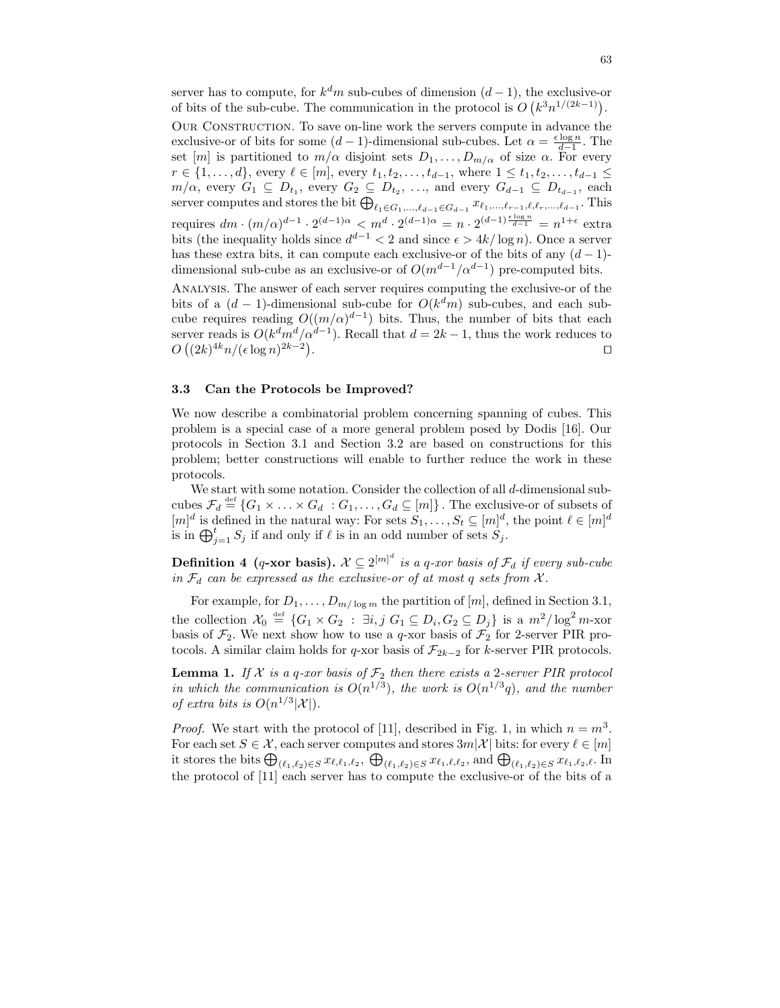server has to compute, for  $k^dm$  sub-cubes of dimension  $(d-1)$ , the exclusive-or of bits of the sub-cube. The communication in the protocol is  $O(k^3n^{1/(2k-1)})$ .

OUR CONSTRUCTION. To save on-line work the servers compute in advance the exclusive-or of bits for some  $(d-1)$ -dimensional sub-cubes. Let  $\alpha = \frac{\epsilon \log n}{d-1}$ . The set [m] is partitioned to  $m/\alpha$  disjoint sets  $D_1, \ldots, D_{m/\alpha}$  of size  $\alpha$ . For every  $r \in \{1, \ldots, d\}$ , every  $\ell \in [m]$ , every  $t_1, t_2, \ldots, t_{d-1}$ , where  $1 \leq t_1, t_2, \ldots, t_{d-1} \leq$  $m/\alpha$ , every  $G_1 \subseteq D_{t_1}$ , every  $G_2 \subseteq D_{t_2}, \ldots$ , and every  $G_{d-1} \subseteq D_{t_{d-1}}$ , each server computes and stores the bit  $\bigoplus_{\ell_1 \in G_1, ..., \ell_{d-1} \in G_{d-1}} x_{\ell_1, ..., \ell_{r-1}, \ell, \ell_r, ..., \ell_{d-1}}$ . This requires  $dm \cdot (m/\alpha)^{d-1} \cdot 2^{(d-1)\alpha} \leq m^d \cdot 2^{(d-1)\alpha} = n \cdot 2^{(d-1)\frac{\epsilon \log n}{d-1}} = n^{1+\epsilon}$  extra bits (the inequality holds since  $d^{d-1} < 2$  and since  $\epsilon > 4k/\log n$ ). Once a server has these extra bits, it can compute each exclusive-or of the bits of any  $(d-1)$ dimensional sub-cube as an exclusive-or of  $O(m^{d-1}/\alpha^{d-1})$  pre-computed bits.

Analysis. The answer of each server requires computing the exclusive-or of the bits of a  $(d-1)$ -dimensional sub-cube for  $O(k<sup>d</sup>m)$  sub-cubes, and each subcube requires reading  $O((m/\alpha)^{d-1})$  bits. Thus, the number of bits that each server reads is  $O(k^d m^d / \alpha^{d-1})$ . Recall that  $d = 2k - 1$ , thus the work reduces to  $O((2k)^{4k}n/(\epsilon \log n)^{2k-2})$ . The contract of the contract of the contract of the contract of the contract of the contract of the contract<br>The contract of the contract of the contract of the contract of the contract of the contract of the contract o

#### 3.3 Can the Protocols be Improved?

We now describe a combinatorial problem concerning spanning of cubes. This problem is a special case of a more general problem posed by Dodis [16]. Our protocols in Section 3.1 and Section 3.2 are based on constructions for this problem; better constructions will enable to further reduce the work in these protocols.

We start with some notation. Consider the collection of all  $d$ -dimensional subcubes  $\mathcal{F}_d \stackrel{\text{def}}{=} \{G_1 \times \ldots \times G_d : G_1, \ldots, G_d \subseteq [m]\}$ . The exclusive-or of subsets of  $[m]^d$  is defined in the natural way: For sets  $S_1, \ldots, S_t \subseteq [m]^d$ , the point  $\ell \in [m]^d$ is in  $\bigoplus_{j=1}^t S_j$  if and only if  $\ell$  is in an odd number of sets  $S_j$ .

**Definition 4** (q-xor basis).  $\mathcal{X} \subseteq 2^{[m]^d}$  is a q-xor basis of  $\mathcal{F}_d$  if every sub-cube in  $\mathcal{F}_d$  can be expressed as the exclusive-or of at most q sets from X.

For example, for  $D_1, \ldots, D_{m/\log m}$  the partition of  $[m]$ , defined in Section 3.1, the collection  $\mathcal{X}_0 \stackrel{\text{def}}{=} \{G_1 \times G_2 : \exists i, j \ G_1 \subseteq D_i, G_2 \subseteq D_j\}$  is a  $m^2/\log^2 m$ -xor basis of  $\mathcal{F}_2$ . We next show how to use a q-xor basis of  $\mathcal{F}_2$  for 2-server PIR protocols. A similar claim holds for q-xor basis of  $\mathcal{F}_{2k-2}$  for k-server PIR protocols.

**Lemma 1.** If X is a q-xor basis of  $\mathcal{F}_2$  then there exists a 2-server PIR protocol in which the communication is  $O(n^{1/3})$ , the work is  $O(n^{1/3}q)$ , and the number of extra bits is  $O(n^{1/3}|\mathcal{X}|)$ .

*Proof.* We start with the protocol of [11], described in Fig. 1, in which  $n = m^3$ . For each set  $S \in \mathcal{X}$ , each server computes and stores  $3m|\mathcal{X}|$  bits: for every  $\ell \in [m]$ it stores the bits  $\bigoplus_{(\ell_1,\ell_2)\in S} x_{\ell,\ell_1,\ell_2}, \bigoplus_{(\ell_1,\ell_2)\in S} x_{\ell_1,\ell,\ell_2},$  and  $\bigoplus_{(\ell_1,\ell_2)\in S} x_{\ell_1,\ell_2,\ell}.$  In the protocol of [11] each server has to compute the exclusive-or of the bits of a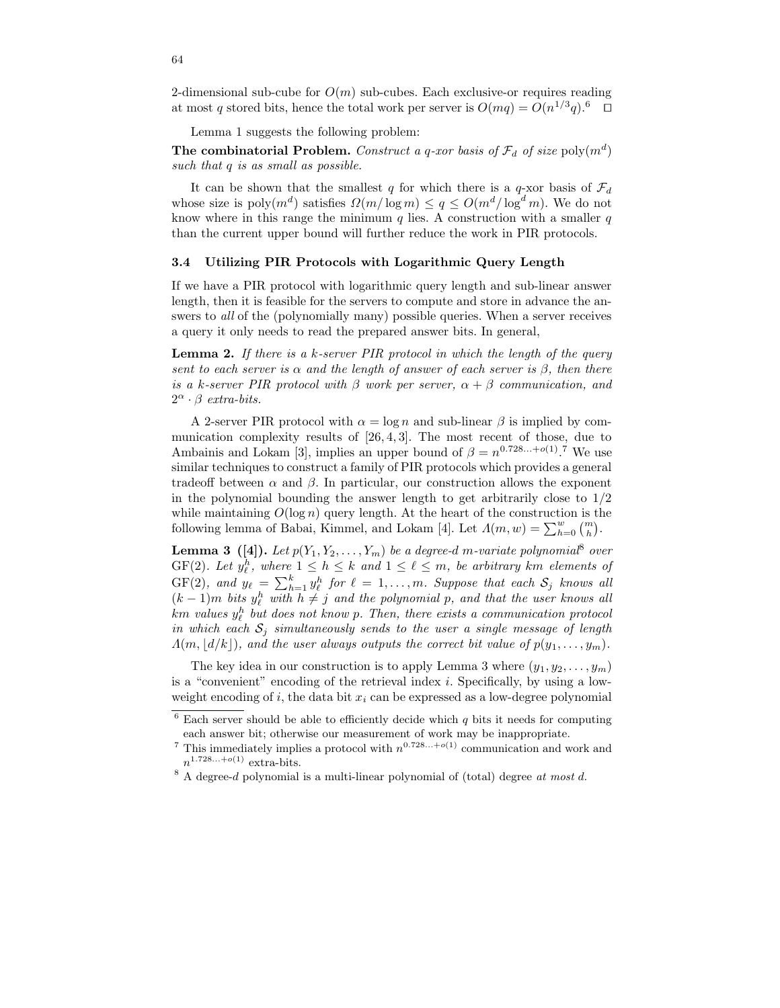2-dimensional sub-cube for  $O(m)$  sub-cubes. Each exclusive-or requires reading at most q stored bits, hence the total work per server is  $O(mq) = O(n^{1/3}q)$ .<sup>6</sup>  $\Box$ 

Lemma 1 suggests the following problem:

The combinatorial Problem. Construct a q-xor basis of  $\mathcal{F}_d$  of size poly $(m^d)$ such that q is as small as possible.

It can be shown that the smallest q for which there is a q-xor basis of  $\mathcal{F}_d$ whose size is  $poly(m^d)$  satisfies  $\Omega(m/\log m) \le q \le O(m^d/\log^d m)$ . We do not know where in this range the minimum  $q$  lies. A construction with a smaller  $q$ than the current upper bound will further reduce the work in PIR protocols.

### 3.4 Utilizing PIR Protocols with Logarithmic Query Length

If we have a PIR protocol with logarithmic query length and sub-linear answer length, then it is feasible for the servers to compute and store in advance the answers to *all* of the (polynomially many) possible queries. When a server receives a query it only needs to read the prepared answer bits. In general,

**Lemma 2.** If there is a  $k$ -server PIR protocol in which the length of the query sent to each server is  $\alpha$  and the length of answer of each server is  $\beta$ , then there is a k-server PIR protocol with  $\beta$  work per server,  $\alpha + \beta$  communication, and  $2^{\alpha} \cdot \beta$  extra-bits.

A 2-server PIR protocol with  $\alpha = \log n$  and sub-linear  $\beta$  is implied by communication complexity results of [26, 4, 3]. The most recent of those, due to Ambainis and Lokam [3], implies an upper bound of  $\beta = n^{0.728...+o(1)}$ .<sup>7</sup> We use similar techniques to construct a family of PIR protocols which provides a general tradeoff between  $\alpha$  and  $\beta$ . In particular, our construction allows the exponent in the polynomial bounding the answer length to get arbitrarily close to  $1/2$ while maintaining  $O(\log n)$  query length. At the heart of the construction is the following lemma of Babai, Kimmel, and Lokam [4]. Let  $\Lambda(m, w) = \sum_{h=0}^{w} {m \choose h}$ .

**Lemma 3** ([4]). Let  $p(Y_1, Y_2, ..., Y_m)$  be a degree-d m-variate polynomial<sup>8</sup> over  $GF(2)$ . Let  $y_{\ell}^h$ , where  $1 \leq h \leq k$  and  $1 \leq \ell \leq m$ , be arbitrary km elements of  $GF(2)$ , and  $y_{\ell} = \sum_{h=1}^{k} y_{\ell}^{h}$  for  $\ell = 1, ..., m$ . Suppose that each  $S_j$  knows all  $(k-1)m$  bits  $y_{\ell}^{h}$  with  $h \neq j$  and the polynomial p, and that the user knows all km values  $y_{\ell}^h$  but does not know p. Then, there exists a communication protocol in which each  $S_j$  simultaneously sends to the user a single message of length  $\Lambda(m, \lfloor d/k \rfloor)$ , and the user always outputs the correct bit value of  $p(y_1, \ldots, y_m)$ .

The key idea in our construction is to apply Lemma 3 where  $(y_1, y_2, \ldots, y_m)$ is a "convenient" encoding of the retrieval index i. Specifically, by using a lowweight encoding of i, the data bit  $x_i$  can be expressed as a low-degree polynomial

 $6$  Each server should be able to efficiently decide which  $q$  bits it needs for computing each answer bit; otherwise our measurement of work may be inappropriate.

<sup>&</sup>lt;sup>7</sup> This immediately implies a protocol with  $n^{0.728...+o(1)}$  communication and work and  $n^{1.728...+o(1)}$  extra-bits.

 $8$  A degree-d polynomial is a multi-linear polynomial of (total) degree at most d.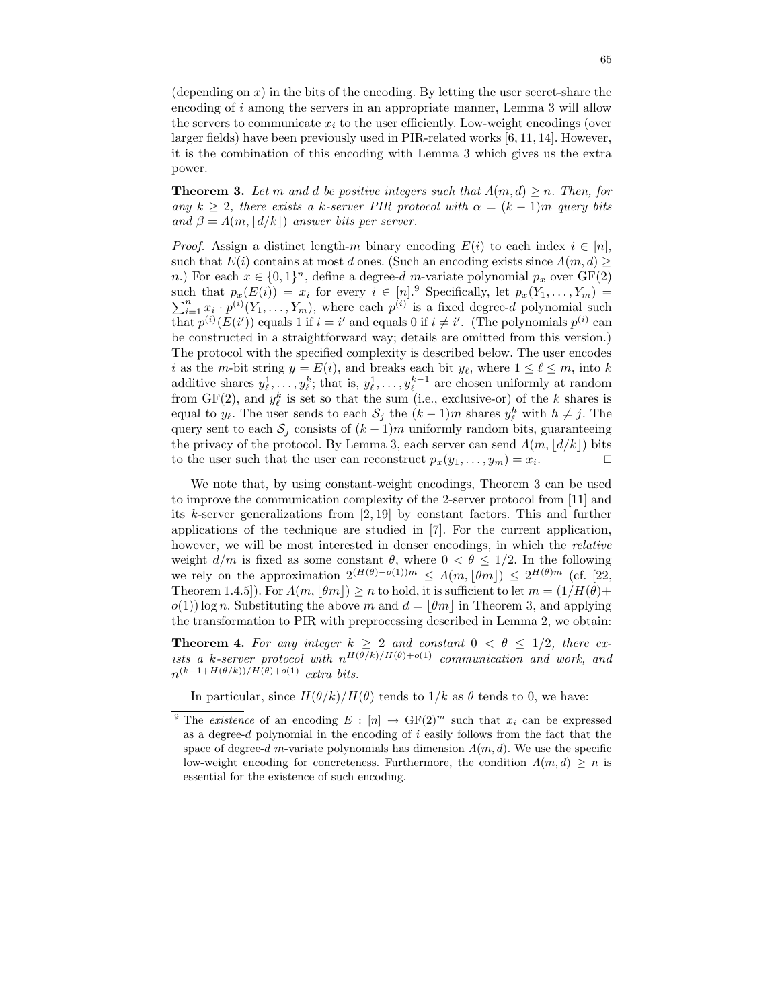(depending on  $x$ ) in the bits of the encoding. By letting the user secret-share the encoding of i among the servers in an appropriate manner, Lemma 3 will allow the servers to communicate  $x_i$  to the user efficiently. Low-weight encodings (over larger fields) have been previously used in PIR-related works [6, 11, 14]. However, it is the combination of this encoding with Lemma 3 which gives us the extra power.

**Theorem 3.** Let m and d be positive integers such that  $\Lambda(m, d) \geq n$ . Then, for any  $k \geq 2$ , there exists a k-server PIR protocol with  $\alpha = (k-1)m$  query bits and  $\beta = \Lambda(m, \vert d/k \vert)$  answer bits per server.

*Proof.* Assign a distinct length-m binary encoding  $E(i)$  to each index  $i \in [n]$ , such that  $E(i)$  contains at most d ones. (Such an encoding exists since  $\Lambda(m, d)$ ) n.) For each  $x \in \{0,1\}^n$ , define a degree-d m-variate polynomial  $p_x$  over  $GF(2)$ such that  $p_x(E(i)) = x_i$  for every  $i \in [n]$ .<sup>9</sup>  $\sum$ ch that  $p_x(E(i)) = x_i$  for every  $i \in [n]^9$  Specifically, let  $p_x(Y_1, \ldots, Y_m) =$ <br> $\sum_{i=1}^n x_i \cdot p^{(i)}(Y_1, \ldots, Y_m)$ , where each  $p^{(i)}$  is a fixed degree-d polynomial such that  $p^{(i)}(E(i'))$  equals 1 if  $i = i'$  and equals 0 if  $i \neq i'$ . (The polynomials  $p^{(i)}$  can be constructed in a straightforward way; details are omitted from this version.) The protocol with the specified complexity is described below. The user encodes i as the m-bit string  $y = E(i)$ , and breaks each bit  $y_{\ell}$ , where  $1 \leq \ell \leq m$ , into k additive shares  $y_\ell^1, \ldots, y_\ell^k$ ; that is,  $y_\ell^1, \ldots, y_\ell^{k-1}$  are chosen uniformly at random from GF(2), and  $y_{\ell}^{k}$  is set so that the sum (i.e., exclusive-or) of the k shares is equal to  $y_\ell$ . The user sends to each  $S_j$  the  $(k - 1)m$  shares  $y_\ell^h$  with  $h \neq j$ . The query sent to each  $S_j$  consists of  $(k-1)m$  uniformly random bits, guaranteeing the privacy of the protocol. By Lemma 3, each server can send  $\Lambda(m, \lfloor d/k \rfloor)$  bits to the user such that the user can reconstruct  $p_x(y_1, \ldots, y_m) = x_i$ . to the user such that the user can reconstruct  $p_x(y_1, \ldots, y_m) = x_i$ . . The state  $\Box$ 

We note that, by using constant-weight encodings, Theorem 3 can be used to improve the communication complexity of the 2-server protocol from [11] and its k-server generalizations from [2, 19] by constant factors. This and further applications of the technique are studied in [7]. For the current application, however, we will be most interested in denser encodings, in which the *relative* weight  $d/m$  is fixed as some constant  $\theta$ , where  $0 < \theta \leq 1/2$ . In the following we rely on the approximation  $2^{(H(\theta)-o(1))m} \leq \Lambda(m, [\theta m]) \leq 2^{H(\theta)m}$  (cf. [22, Theorem 1.4.5]). For  $\Lambda(m, |\theta m|) \geq n$  to hold, it is sufficient to let  $m = (1/H(\theta) +$  $o(1)$  log n. Substituting the above m and  $d = |\theta m|$  in Theorem 3, and applying the transformation to PIR with preprocessing described in Lemma 2, we obtain:

**Theorem 4.** For any integer  $k \geq 2$  and constant  $0 < \theta \leq 1/2$ , there exists a k-server protocol with  $n^{H(\theta/k)/H(\theta)+o(1)}$  communication and work, and  $n^{(k-1+H(\theta/k))/H(\theta)+o(1)}$  extra bits.

In particular, since  $H(\theta/k)/H(\theta)$  tends to  $1/k$  as  $\theta$  tends to 0, we have:

<sup>&</sup>lt;sup>9</sup> The *existence* of an encoding  $E : [n] \rightarrow GF(2)^m$  such that  $x_i$  can be expressed as a degree- $d$  polynomial in the encoding of  $i$  easily follows from the fact that the space of degree-d m-variate polynomials has dimension  $\Lambda(m, d)$ . We use the specific low-weight encoding for concreteness. Furthermore, the condition  $\Lambda(m, d) \geq n$  is essential for the existence of such encoding.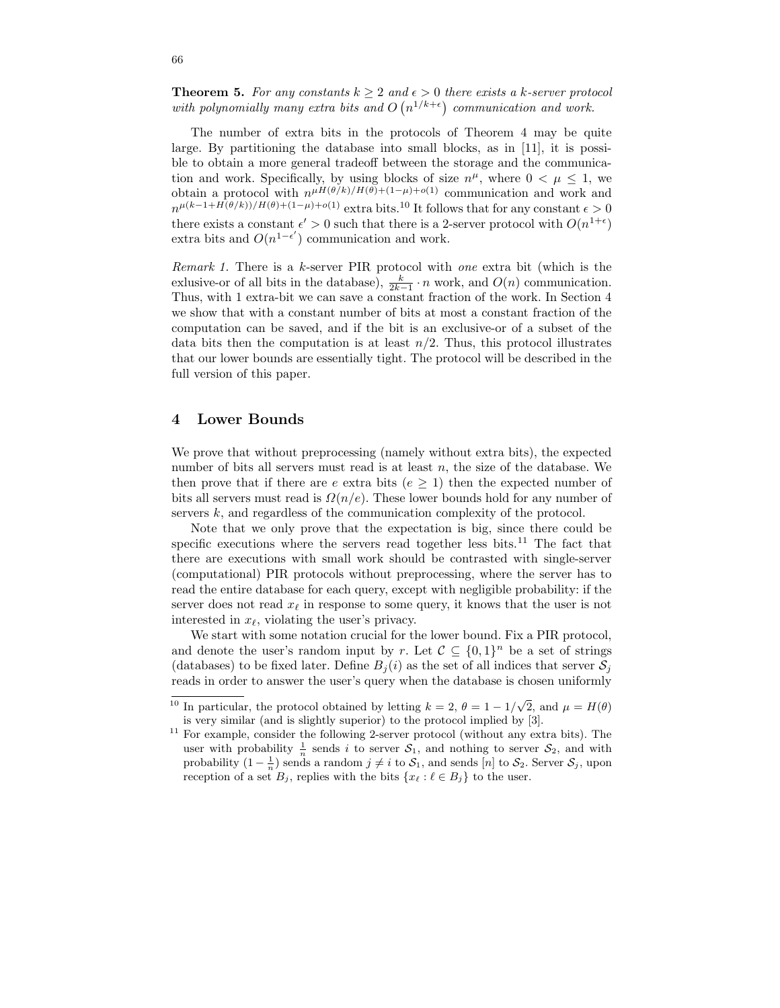**Theorem 5.** For any constants  $k \geq 2$  and  $\epsilon > 0$  there exists a k-server protocol with polynomially many extra bits and  $O(n^{1/k+\epsilon})$  communication and work.

The number of extra bits in the protocols of Theorem 4 may be quite large. By partitioning the database into small blocks, as in [11], it is possible to obtain a more general tradeoff between the storage and the communication and work. Specifically, by using blocks of size  $n^{\mu}$ , where  $0 < \mu \leq 1$ , we obtain a protocol with  $n^{\mu H(\theta/k)/H(\theta)+(1-\mu)+o(1)}$  communication and work and  $n^{\mu(k-1+H(\theta/k))/H(\theta)+(1-\mu)+o(1)}$  extra bits.<sup>10</sup> It follows that for any constant  $\epsilon > 0$ there exists a constant  $\epsilon' > 0$  such that there is a 2-server protocol with  $O(n^{1+\epsilon})$ extra bits and  $O(n^{1-\epsilon'})$  communication and work.

Remark 1. There is a k-server PIR protocol with one extra bit (which is the exlusive-or of all bits in the database),  $\frac{k}{2k-1} \cdot n$  work, and  $O(n)$  communication. Thus, with 1 extra-bit we can save a constant fraction of the work. In Section 4 we show that with a constant number of bits at most a constant fraction of the computation can be saved, and if the bit is an exclusive-or of a subset of the data bits then the computation is at least  $n/2$ . Thus, this protocol illustrates that our lower bounds are essentially tight. The protocol will be described in the full version of this paper.

### 4 Lower Bounds

We prove that without preprocessing (namely without extra bits), the expected number of bits all servers must read is at least  $n$ , the size of the database. We then prove that if there are e extra bits ( $e \geq 1$ ) then the expected number of bits all servers must read is  $\Omega(n/e)$ . These lower bounds hold for any number of servers k, and regardless of the communication complexity of the protocol.

Note that we only prove that the expectation is big, since there could be specific executions where the servers read together less bits.<sup>11</sup> The fact that there are executions with small work should be contrasted with single-server (computational) PIR protocols without preprocessing, where the server has to read the entire database for each query, except with negligible probability: if the server does not read  $x_\ell$  in response to some query, it knows that the user is not interested in  $x_{\ell}$ , violating the user's privacy.

We start with some notation crucial for the lower bound. Fix a PIR protocol, and denote the user's random input by r. Let  $\mathcal{C} \subseteq \{0,1\}^n$  be a set of strings (databases) to be fixed later. Define  $B_i(i)$  as the set of all indices that server  $S_i$ reads in order to answer the user's query when the database is chosen uniformly

<sup>&</sup>lt;sup>10</sup> In particular, the protocol obtained by letting  $k = 2$ ,  $\theta = 1 - 1/\sqrt{2}$ , and  $\mu = H(\theta)$ is very similar (and is slightly superior) to the protocol implied by [3].

 $^{11}$  For example, consider the following 2-server protocol (without any extra bits). The user with probability  $\frac{1}{n}$  sends i to server  $S_1$ , and nothing to server  $S_2$ , and with probability  $(1 - \frac{1}{n})$  sends a random  $j \neq i$  to  $S_1$ , and sends [n] to  $S_2$ . Server  $S_j$ , upon reception of a set  $B_j$ , replies with the bits  $\{x_\ell : \ell \in B_j\}$  to the user.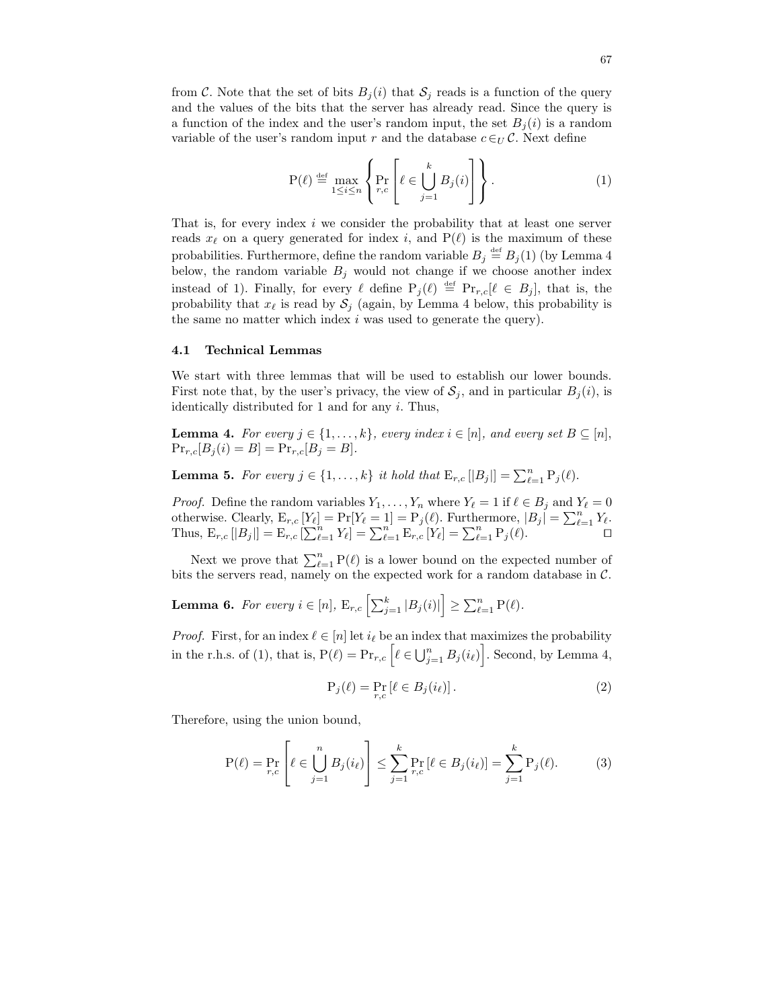from C. Note that the set of bits  $B_i(i)$  that  $S_i$  reads is a function of the query and the values of the bits that the server has already read. Since the query is a function of the index and the user's random input, the set  $B_i(i)$  is a random variable of the user's random input r and the database  $c \in U \mathcal{C}$ . Next define

$$
P(\ell) \stackrel{\text{def}}{=} \max_{1 \le i \le n} \left\{ \Pr_{r,c} \left[ \ell \in \bigcup_{j=1}^{k} B_j(i) \right] \right\}.
$$
 (1)

That is, for every index  $i$  we consider the probability that at least one server reads  $x_\ell$  on a query generated for index i, and  $P(\ell)$  is the maximum of these probabilities. Furthermore, define the random variable  $B_j \stackrel{\text{def}}{=} B_j(1)$  (by Lemma 4 below, the random variable  $B_j$  would not change if we choose another index instead of 1). Finally, for every  $\ell$  define  $P_j(\ell) \stackrel{\text{def}}{=} \Pr_{r,c}[\ell \in B_j]$ , that is, the probability that  $x_{\ell}$  is read by  $S_i$  (again, by Lemma 4 below, this probability is the same no matter which index  $i$  was used to generate the query).

### 4.1 Technical Lemmas

We start with three lemmas that will be used to establish our lower bounds. First note that, by the user's privacy, the view of  $S_j$ , and in particular  $B_j(i)$ , is identically distributed for  $1$  and for any  $i$ . Thus,

**Lemma 4.** For every  $j \in \{1, ..., k\}$ , every index  $i \in [n]$ , and every set  $B \subseteq [n]$ ,  $Pr_{r,c}[B_i(i) = B] = Pr_{r,c}[B_i = B].$ 

**Lemma 5.** For every  $j \in \{1, ..., k\}$  it hold that  $E_{r,c}[B_j] = \sum_{\ell=1}^n P_j(\ell)$ .

*Proof.* Define the random variables  $Y_1, \ldots, Y_n$  where  $Y_\ell = 1$  if  $\ell \in B_j$  and  $Y_\ell = 0$ otherwise. Clearly,  $E_{r,c}[Y_\ell] = \Pr[Y_\ell = 1] = P_j(\ell)$ . Furthermore,  $|B_j| = \sum_{\ell=1}^n Y_\ell$ . Thus,  $E_{r,c}$   $[|B_j|] = E_{r,c}$   $[\sum_{\ell=1}^n Y_\ell] = \sum_{\ell=1}^n E_{r,c}$   $[Y_\ell] = \sum_{\ell=1}^n P_j(\ell)$ .

Next we prove that  $\sum_{\ell=1}^n P(\ell)$  is a lower bound on the expected number of bits the servers read, namely on the expected work for a random database in C.

**Lemma 6.** For every 
$$
i \in [n]
$$
,  $E_{r,c} \left[ \sum_{j=1}^k |B_j(i)| \right] \geq \sum_{\ell=1}^n P(\ell)$ .

*Proof.* First, for an index  $\ell \in [n]$  let  $i_{\ell}$  be an index that maximizes the probability in the r.h.s. of (1), that is,  $P(\ell) = Pr_{r,c} \left[ \ell \in \bigcup_{j=1}^n B_j(i_\ell) \right]$ . Second, by Lemma 4,

$$
P_j(\ell) = \Pr_{r,c} \left[ \ell \in B_j(i_\ell) \right]. \tag{2}
$$

Therefore, using the union bound,

$$
P(\ell) = \Pr_{r,c} \left[ \ell \in \bigcup_{j=1}^{n} B_j(i_{\ell}) \right] \le \sum_{j=1}^{k} \Pr_{r,c} \left[ \ell \in B_j(i_{\ell}) \right] = \sum_{j=1}^{k} P_j(\ell). \tag{3}
$$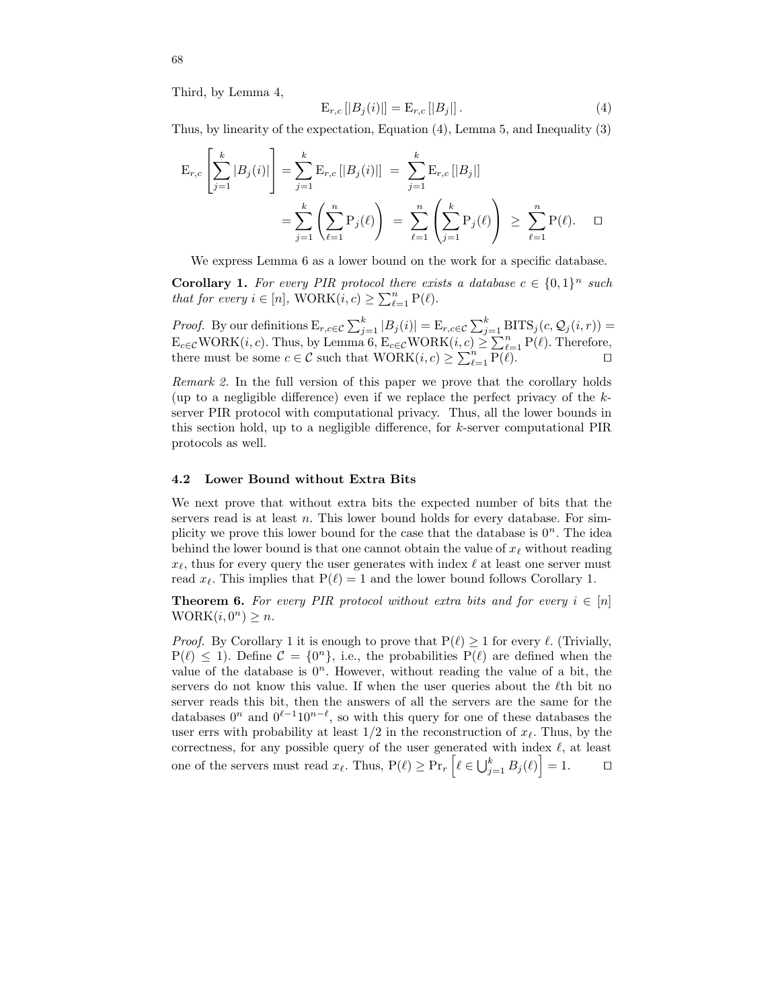Third, by Lemma 4,

$$
\mathbf{E}_{r,c} [|B_j(i)|] = \mathbf{E}_{r,c} [|B_j|]. \tag{4}
$$

Thus, by linearity of the expectation, Equation (4), Lemma 5, and Inequality (3)

$$
\mathcal{E}_{r,c} \left[ \sum_{j=1}^{k} |B_j(i)| \right] = \sum_{j=1}^{k} \mathcal{E}_{r,c} [B_j(i)] = \sum_{j=1}^{k} \mathcal{E}_{r,c} [B_j] \n= \sum_{j=1}^{k} \left( \sum_{\ell=1}^{n} \mathcal{P}_j(\ell) \right) = \sum_{\ell=1}^{n} \left( \sum_{j=1}^{k} \mathcal{P}_j(\ell) \right) \ge \sum_{\ell=1}^{n} \mathcal{P}(\ell). \quad \Box
$$

We express Lemma 6 as a lower bound on the work for a specific database.

**Corollary 1.** For every PIR protocol there exists a database  $c \in \{0,1\}^n$  such that for every  $i \in [n]$ , WORK $(i, c) \ge \sum_{\ell=1}^n P(\ell)$ .

*Proof.* By our definitions  $E_{r,c\in\mathcal{C}}\sum_{j=1}^k |B_j(i)| = E_{r,c\in\mathcal{C}}\sum_{j=1}^k \text{BITS}_j(c,\mathcal{Q}_j(i,r)) =$  $E_{c \in \mathcal{C}} \text{WORK}(i, c)$ . Thus, by Lemma 6,  $E_{c \in \mathcal{C}} \text{WORK}(i, c) \geq \sum_{\ell=1}^{n} P(\ell)$ . Therefore, there must be some  $c \in \mathcal{C}$  such that  $WORK(i, c) \geq \sum_{\ell=1}^{n} P(\ell)$ .

Remark 2. In the full version of this paper we prove that the corollary holds (up to a negligible difference) even if we replace the perfect privacy of the  $k$ server PIR protocol with computational privacy. Thus, all the lower bounds in this section hold, up to a negligible difference, for k-server computational PIR protocols as well.

#### 4.2 Lower Bound without Extra Bits

We next prove that without extra bits the expected number of bits that the servers read is at least  $n$ . This lower bound holds for every database. For simplicity we prove this lower bound for the case that the database is  $0<sup>n</sup>$ . The idea behind the lower bound is that one cannot obtain the value of  $x_\ell$  without reading  $x_{\ell}$ , thus for every query the user generates with index  $\ell$  at least one server must read  $x_{\ell}$ . This implies that  $P(\ell) = 1$  and the lower bound follows Corollary 1.

**Theorem 6.** For every PIR protocol without extra bits and for every  $i \in [n]$  $\text{WORK}(i, 0^n) \geq n.$ 

*Proof.* By Corollary 1 it is enough to prove that  $P(\ell) > 1$  for every  $\ell$ . (Trivially,  $P(\ell) \leq 1$ ). Define  $C = \{0^n\}$ , i.e., the probabilities  $P(\ell)$  are defined when the value of the database is  $0<sup>n</sup>$ . However, without reading the value of a bit, the servers do not know this value. If when the user queries about the  $\ell$ th bit no server reads this bit, then the answers of all the servers are the same for the databases  $0^n$  and  $0^{\ell-1}10^{n-\ell}$ , so with this query for one of these databases the user errs with probability at least  $1/2$  in the reconstruction of  $x_\ell$ . Thus, by the correctness, for any possible query of the user generated with index  $\ell$ , at least one of the servers must read  $x_{\ell}$ . Thus,  $P(\ell) \geq Pr_r \left[ \ell \in \bigcup_{j=1}^{k} B_j(\ell) \right] = 1.$   $\Box$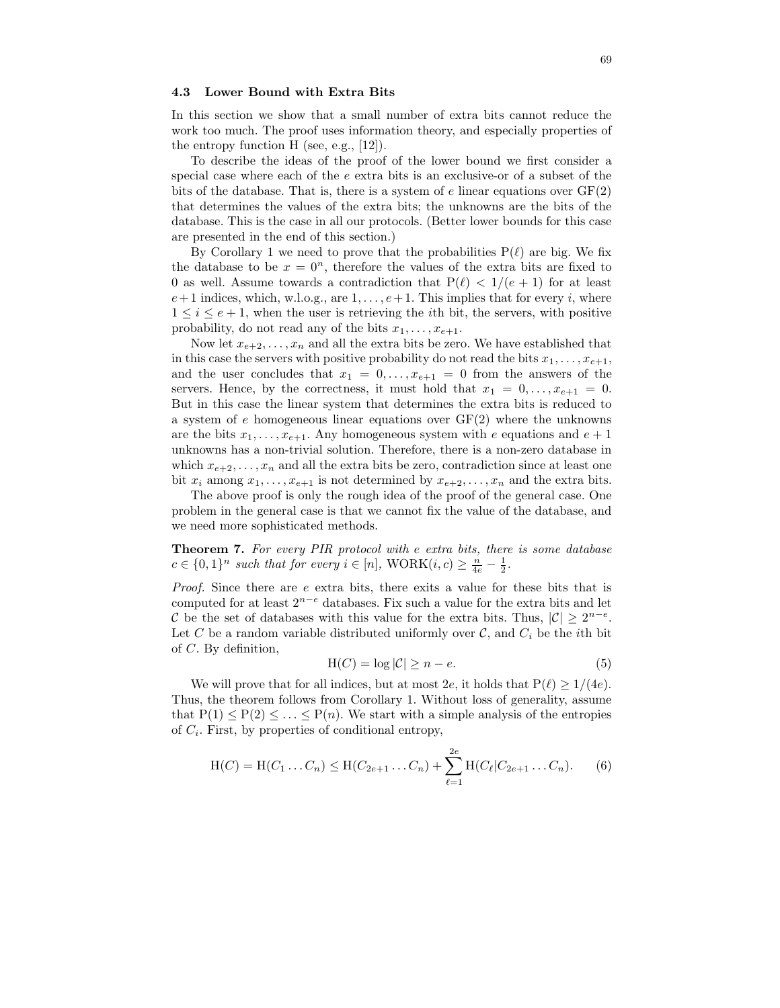#### 4.3 Lower Bound with Extra Bits

In this section we show that a small number of extra bits cannot reduce the work too much. The proof uses information theory, and especially properties of the entropy function H (see, e.g., [12]).

To describe the ideas of the proof of the lower bound we first consider a special case where each of the  $e$  extra bits is an exclusive-or of a subset of the bits of the database. That is, there is a system of e linear equations over  $GF(2)$ that determines the values of the extra bits; the unknowns are the bits of the database. This is the case in all our protocols. (Better lower bounds for this case are presented in the end of this section.)

By Corollary 1 we need to prove that the probabilities  $P(\ell)$  are big. We fix the database to be  $x = 0^n$ , therefore the values of the extra bits are fixed to 0 as well. Assume towards a contradiction that  $P(\ell) < 1/(e+1)$  for at least  $e+1$  indices, which, w.l.o.g., are  $1, \ldots, e+1$ . This implies that for every i, where  $1 \leq i \leq e+1$ , when the user is retrieving the *i*th bit, the servers, with positive probability, do not read any of the bits  $x_1, \ldots, x_{e+1}$ .

Now let  $x_{e+2}, \ldots, x_n$  and all the extra bits be zero. We have established that in this case the servers with positive probability do not read the bits  $x_1, \ldots, x_{e+1}$ , and the user concludes that  $x_1 = 0, \ldots, x_{e+1} = 0$  from the answers of the servers. Hence, by the correctness, it must hold that  $x_1 = 0, \ldots, x_{e+1} = 0$ . But in this case the linear system that determines the extra bits is reduced to a system of  $e$  homogeneous linear equations over  $GF(2)$  where the unknowns are the bits  $x_1, \ldots, x_{e+1}$ . Any homogeneous system with e equations and  $e+1$ unknowns has a non-trivial solution. Therefore, there is a non-zero database in which  $x_{e+2}, \ldots, x_n$  and all the extra bits be zero, contradiction since at least one bit  $x_i$  among  $x_1, \ldots, x_{e+1}$  is not determined by  $x_{e+2}, \ldots, x_n$  and the extra bits.

The above proof is only the rough idea of the proof of the general case. One problem in the general case is that we cannot fix the value of the database, and we need more sophisticated methods.

Theorem 7. For every PIR protocol with e extra bits, there is some database  $c \in \{0,1\}^n$  such that for every  $i \in [n]$ ,  $\text{WORK}(i, c) \geq \frac{n}{4e} - \frac{1}{2}$ .

*Proof.* Since there are  $e$  extra bits, there exits a value for these bits that is computed for at least  $2^{n-e}$  databases. Fix such a value for the extra bits and let C be the set of databases with this value for the extra bits. Thus,  $|\mathcal{C}| \geq 2^{n-e}$ . Let C be a random variable distributed uniformly over  $\mathcal{C}$ , and  $C_i$  be the *i*th bit of C. By definition,

$$
H(C) = \log |\mathcal{C}| \ge n - e. \tag{5}
$$

We will prove that for all indices, but at most 2e, it holds that  $P(\ell) \ge 1/(4e)$ . Thus, the theorem follows from Corollary 1. Without loss of generality, assume that  $P(1) \leq P(2) \leq \ldots \leq P(n)$ . We start with a simple analysis of the entropies of  $C_i$ . First, by properties of conditional entropy,

$$
H(C) = H(C_1 ... C_n) \le H(C_{2e+1} ... C_n) + \sum_{\ell=1}^{2e} H(C_{\ell}|C_{2e+1} ... C_n).
$$
 (6)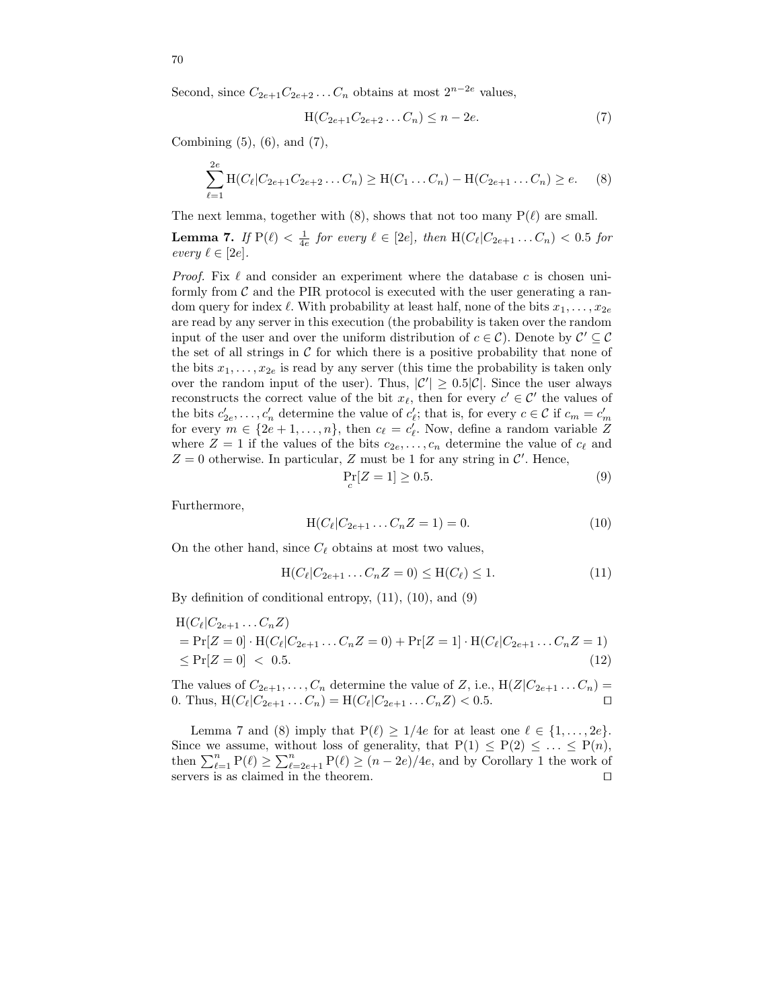Second, since  $C_{2e+1}C_{2e+2}\ldots C_n$  obtains at most  $2^{n-2e}$  values,

$$
H(C_{2e+1}C_{2e+2}\dots C_n) \le n - 2e. \tag{7}
$$

Combining  $(5)$ ,  $(6)$ , and  $(7)$ ,

$$
\sum_{\ell=1}^{2e} \text{H}(C_{\ell}|C_{2e+1}C_{2e+2}\dots C_n) \geq \text{H}(C_1\dots C_n) - \text{H}(C_{2e+1}\dots C_n) \geq e. \tag{8}
$$

The next lemma, together with (8), shows that not too many  $P(\ell)$  are small.

**Lemma 7.** If  $P(\ell) < \frac{1}{4e}$  for every  $\ell \in [2e]$ , then  $H(C_{\ell}|C_{2e+1}...C_n) < 0.5$  for every  $\ell \in [2e]$ .

*Proof.* Fix  $\ell$  and consider an experiment where the database c is chosen uniformly from  $\mathcal C$  and the PIR protocol is executed with the user generating a random query for index  $\ell$ . With probability at least half, none of the bits  $x_1, \ldots, x_{2e}$ are read by any server in this execution (the probability is taken over the random input of the user and over the uniform distribution of  $c \in C$ ). Denote by  $C' \subseteq C$ the set of all strings in  $\mathcal C$  for which there is a positive probability that none of the bits  $x_1, \ldots, x_{2e}$  is read by any server (this time the probability is taken only over the random input of the user). Thus,  $|\mathcal{C}'| \geq 0.5|\mathcal{C}|$ . Since the user always reconstructs the correct value of the bit  $x_{\ell}$ , then for every  $c' \in \mathcal{C}'$  the values of the bits  $c'_2, \ldots, c'_n$  determine the value of  $c'_\ell$ ; that is, for every  $c \in \mathcal{C}$  if  $c_m = c'_m$ for every  $m \in \{2e+1,\ldots,n\}$ , then  $c_{\ell} = c'_{\ell}$ . Now, define a random variable Z where  $Z = 1$  if the values of the bits  $c_{2e}, \ldots, c_n$  determine the value of  $c_{\ell}$  and  $Z = 0$  otherwise. In particular, Z must be 1 for any string in  $\mathcal{C}'$ . Hence,

$$
\Pr_c[Z = 1] \ge 0.5. \tag{9}
$$

Furthermore,

$$
H(C_{\ell}|C_{2e+1}\dots C_n Z = 1) = 0.
$$
\n(10)

On the other hand, since  $C_{\ell}$  obtains at most two values,

$$
H(C_{\ell}|C_{2e+1}\dots C_n Z = 0) \le H(C_{\ell}) \le 1.
$$
\n(11)

By definition of conditional entropy,  $(11)$ ,  $(10)$ , and  $(9)$ 

$$
H(C_{\ell}|C_{2e+1}\dots C_n Z)
$$
  
= Pr[Z = 0] · H(C\_{\ell}|C\_{2e+1}\dots C\_n Z = 0) + Pr[Z = 1] · H(C\_{\ell}|C\_{2e+1}\dots C\_n Z = 1)  
≤ Pr[Z = 0] < 0.5. (12)

The values of  $C_{2e+1}, \ldots, C_n$  determine the value of Z, i.e.,  $H(Z|C_{2e+1} \ldots C_n) = 0$ . Thus,  $H(C_e|C_{2e+1} \ldots C_n) = H(C_e|C_{2e+1} \ldots C_n Z) < 0.5$ . 0. Thus,  $H(C_{\ell}|C_{2e+1} \ldots C_n) = H(C_{\ell}|C_{2e+1} \ldots C_nZ) < 0.5$ .

Lemma 7 and (8) imply that  $P(\ell) \geq 1/4e$  for at least one  $\ell \in \{1, \ldots, 2e\}.$ Since we assume, without loss of generality, that  $P(1) \leq P(2) \leq \ldots \leq P(n)$ , then  $\sum_{\ell=1}^n P(\ell) \geq \sum_{\ell=2e+1}^n P(\ell) \geq (n-2e)/4e$ , and by Corollary 1 the work of servers is as claimed in the theorem.  $\Box$ 

70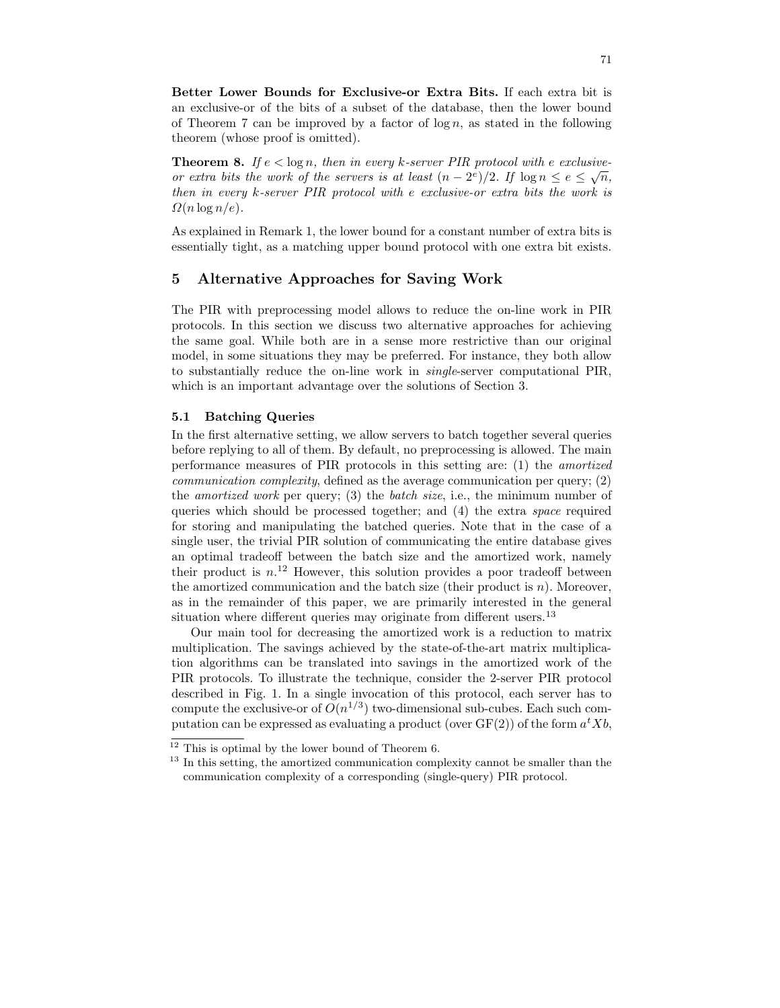Better Lower Bounds for Exclusive-or Extra Bits. If each extra bit is an exclusive-or of the bits of a subset of the database, then the lower bound of Theorem 7 can be improved by a factor of  $\log n$ , as stated in the following theorem (whose proof is omitted).

**Theorem 8.** If  $e < \log n$ , then in every k-server PIR protocol with e exclusiveor extra bits the work of the servers is at least  $(n - 2^e)/2$ . If  $\log n \le e \le \sqrt{n}$ , then in every k-server PIR protocol with e exclusive-or extra bits the work is  $\Omega(n \log n/e)$ .

As explained in Remark 1, the lower bound for a constant number of extra bits is essentially tight, as a matching upper bound protocol with one extra bit exists.

### 5 Alternative Approaches for Saving Work

The PIR with preprocessing model allows to reduce the on-line work in PIR protocols. In this section we discuss two alternative approaches for achieving the same goal. While both are in a sense more restrictive than our original model, in some situations they may be preferred. For instance, they both allow to substantially reduce the on-line work in single-server computational PIR, which is an important advantage over the solutions of Section 3.

### 5.1 Batching Queries

In the first alternative setting, we allow servers to batch together several queries before replying to all of them. By default, no preprocessing is allowed. The main performance measures of PIR protocols in this setting are: (1) the amortized communication complexity, defined as the average communication per query; (2) the *amortized work* per query; (3) the *batch size*, i.e., the minimum number of queries which should be processed together; and (4) the extra space required for storing and manipulating the batched queries. Note that in the case of a single user, the trivial PIR solution of communicating the entire database gives an optimal tradeoff between the batch size and the amortized work, namely their product is  $n^{12}$  However, this solution provides a poor tradeoff between the amortized communication and the batch size (their product is  $n$ ). Moreover, as in the remainder of this paper, we are primarily interested in the general situation where different queries may originate from different users.<sup>13</sup>

Our main tool for decreasing the amortized work is a reduction to matrix multiplication. The savings achieved by the state-of-the-art matrix multiplication algorithms can be translated into savings in the amortized work of the PIR protocols. To illustrate the technique, consider the 2-server PIR protocol described in Fig. 1. In a single invocation of this protocol, each server has to compute the exclusive-or of  $O(n^{1/3})$  two-dimensional sub-cubes. Each such computation can be expressed as evaluating a product (over  $GF(2)$ ) of the form  $a<sup>t</sup> Xb$ ,

 $^{12}$  This is optimal by the lower bound of Theorem 6.

<sup>&</sup>lt;sup>13</sup> In this setting, the amortized communication complexity cannot be smaller than the communication complexity of a corresponding (single-query) PIR protocol.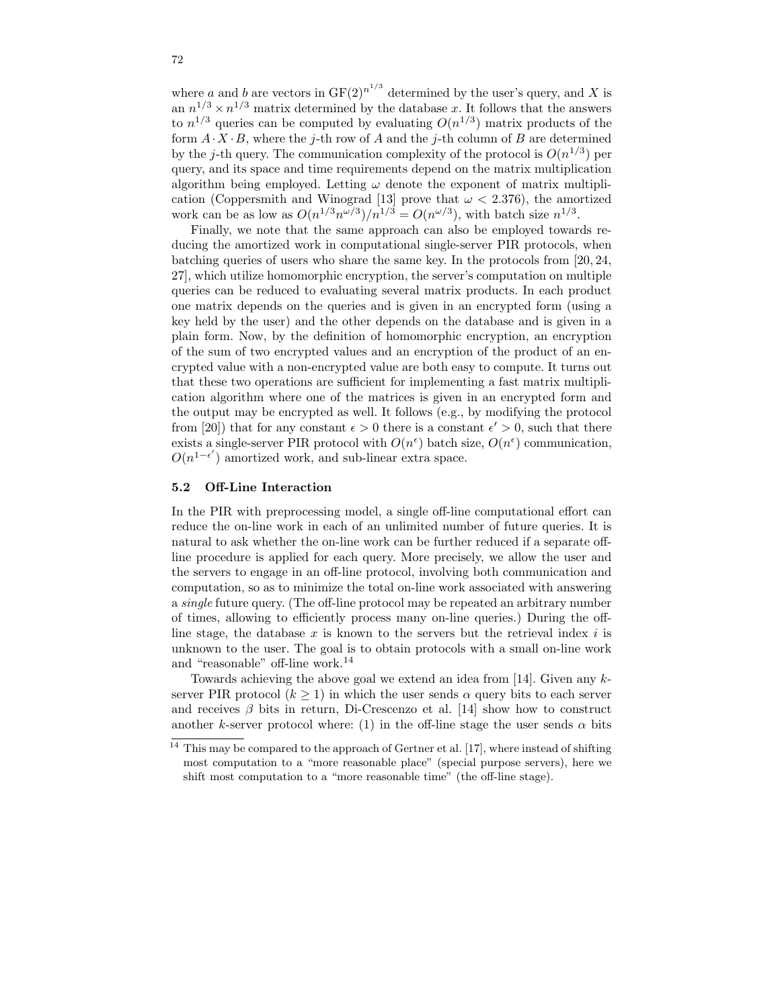where a and b are vectors in  $GF(2)^{n^{1/3}}$  determined by the user's query, and X is an  $n^{1/3} \times n^{1/3}$  matrix determined by the database x. It follows that the answers to  $n^{1/3}$  queries can be computed by evaluating  $O(n^{1/3})$  matrix products of the form  $A \cdot X \cdot B$ , where the j-th row of A and the j-th column of B are determined by the j-th query. The communication complexity of the protocol is  $O(n^{1/3})$  per query, and its space and time requirements depend on the matrix multiplication algorithm being employed. Letting  $\omega$  denote the exponent of matrix multiplication (Coppersmith and Winograd [13] prove that  $\omega < 2.376$ ), the amortized work can be as low as  $O(n^{1/3}n^{\omega/3})/n^{1/3} = O(n^{\omega/3})$ , with batch size  $n^{1/3}$ .

Finally, we note that the same approach can also be employed towards reducing the amortized work in computational single-server PIR protocols, when batching queries of users who share the same key. In the protocols from [20, 24, 27], which utilize homomorphic encryption, the server's computation on multiple queries can be reduced to evaluating several matrix products. In each product one matrix depends on the queries and is given in an encrypted form (using a key held by the user) and the other depends on the database and is given in a plain form. Now, by the definition of homomorphic encryption, an encryption of the sum of two encrypted values and an encryption of the product of an encrypted value with a non-encrypted value are both easy to compute. It turns out that these two operations are sufficient for implementing a fast matrix multiplication algorithm where one of the matrices is given in an encrypted form and the output may be encrypted as well. It follows (e.g., by modifying the protocol from [20]) that for any constant  $\epsilon > 0$  there is a constant  $\epsilon' > 0$ , such that there exists a single-server PIR protocol with  $O(n^{\epsilon})$  batch size,  $O(n^{\epsilon})$  communication,  $O(n^{1-\epsilon'})$  amortized work, and sub-linear extra space.

#### 5.2 Off-Line Interaction

In the PIR with preprocessing model, a single off-line computational effort can reduce the on-line work in each of an unlimited number of future queries. It is natural to ask whether the on-line work can be further reduced if a separate offline procedure is applied for each query. More precisely, we allow the user and the servers to engage in an off-line protocol, involving both communication and computation, so as to minimize the total on-line work associated with answering a single future query. (The off-line protocol may be repeated an arbitrary number of times, allowing to efficiently process many on-line queries.) During the offline stage, the database  $x$  is known to the servers but the retrieval index  $i$  is unknown to the user. The goal is to obtain protocols with a small on-line work and "reasonable" off-line work.<sup>14</sup>

Towards achieving the above goal we extend an idea from [14]. Given any kserver PIR protocol  $(k \geq 1)$  in which the user sends  $\alpha$  query bits to each server and receives  $\beta$  bits in return, Di-Crescenzo et al. [14] show how to construct another k-server protocol where: (1) in the off-line stage the user sends  $\alpha$  bits

 $14$  This may be compared to the approach of Gertner et al. [17], where instead of shifting most computation to a "more reasonable place" (special purpose servers), here we shift most computation to a "more reasonable time" (the off-line stage).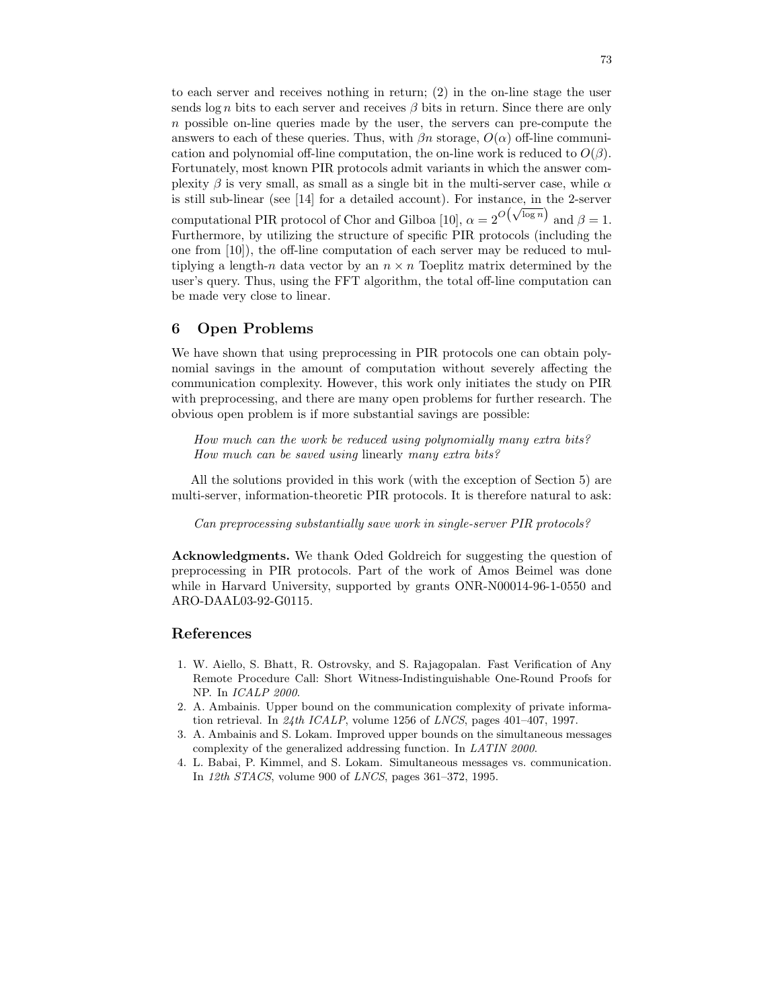to each server and receives nothing in return; (2) in the on-line stage the user sends log n bits to each server and receives  $\beta$  bits in return. Since there are only n possible on-line queries made by the user, the servers can pre-compute the answers to each of these queries. Thus, with  $\beta n$  storage,  $O(\alpha)$  off-line communication and polynomial off-line computation, the on-line work is reduced to  $O(\beta)$ . Fortunately, most known PIR protocols admit variants in which the answer complexity  $\beta$  is very small, as small as a single bit in the multi-server case, while  $\alpha$ is still sub-linear (see [14] for a detailed account). For instance, in the 2-server computational PIR protocol of Chor and Gilboa [10],  $\alpha = 2^{O(\sqrt{\log n})}$  and  $\beta = 1$ . Furthermore, by utilizing the structure of specific PIR protocols (including the one from [10]), the off-line computation of each server may be reduced to multiplying a length-n data vector by an  $n \times n$  Toeplitz matrix determined by the user's query. Thus, using the FFT algorithm, the total off-line computation can be made very close to linear.

### 6 Open Problems

We have shown that using preprocessing in PIR protocols one can obtain polynomial savings in the amount of computation without severely affecting the communication complexity. However, this work only initiates the study on PIR with preprocessing, and there are many open problems for further research. The obvious open problem is if more substantial savings are possible:

How much can the work be reduced using polynomially many extra bits? How much can be saved using linearly many extra bits?

All the solutions provided in this work (with the exception of Section 5) are multi-server, information-theoretic PIR protocols. It is therefore natural to ask:

Can preprocessing substantially save work in single-server PIR protocols?

Acknowledgments. We thank Oded Goldreich for suggesting the question of preprocessing in PIR protocols. Part of the work of Amos Beimel was done while in Harvard University, supported by grants ONR-N00014-96-1-0550 and ARO-DAAL03-92-G0115.

### References

- 1. W. Aiello, S. Bhatt, R. Ostrovsky, and S. Rajagopalan. Fast Verification of Any Remote Procedure Call: Short Witness-Indistinguishable One-Round Proofs for NP. In ICALP 2000.
- 2. A. Ambainis. Upper bound on the communication complexity of private information retrieval. In 24th ICALP, volume 1256 of LNCS, pages 401–407, 1997.
- 3. A. Ambainis and S. Lokam. Improved upper bounds on the simultaneous messages complexity of the generalized addressing function. In LATIN 2000.
- 4. L. Babai, P. Kimmel, and S. Lokam. Simultaneous messages vs. communication. In 12th STACS, volume 900 of LNCS, pages 361–372, 1995.